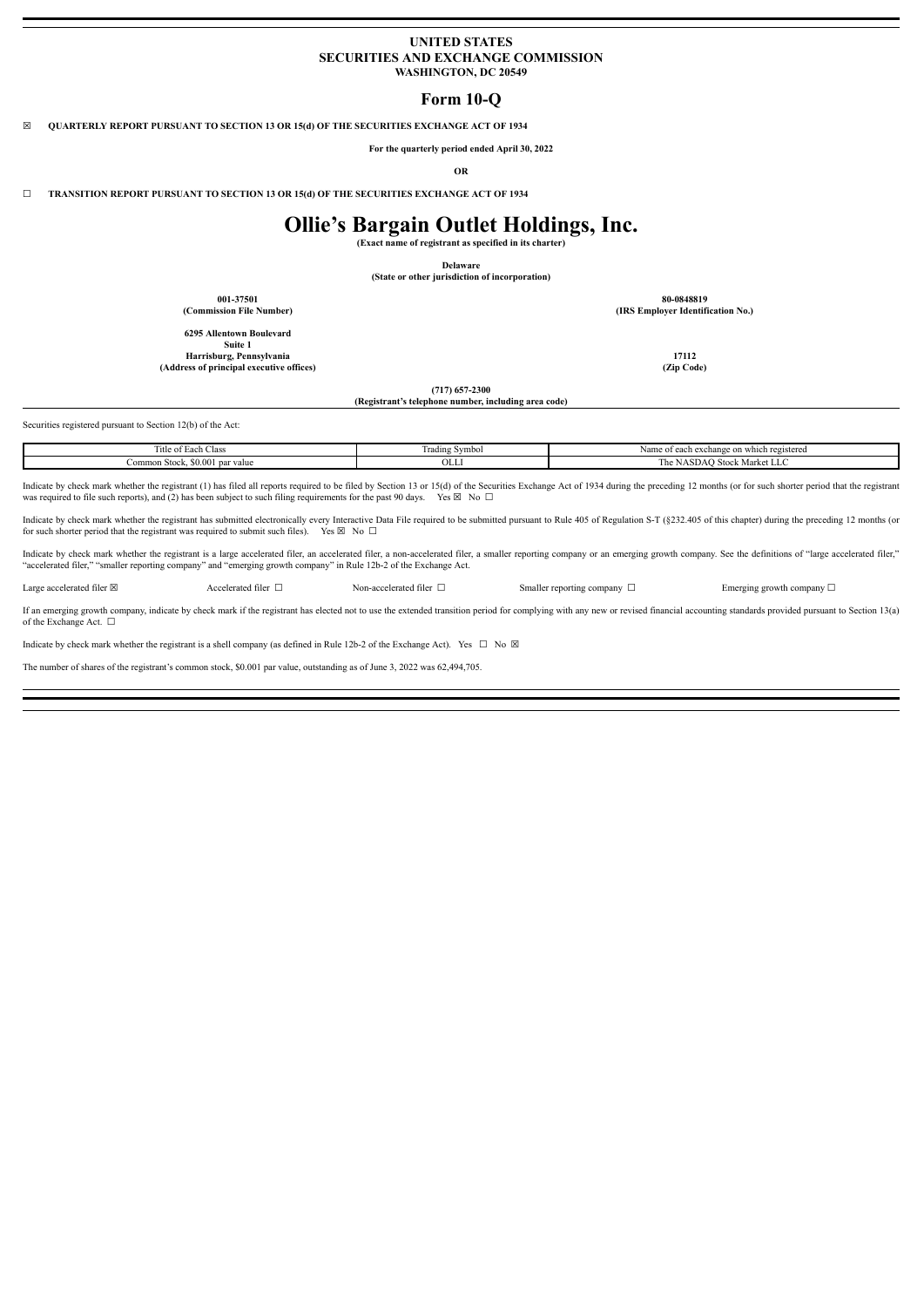# **UNITED STATES SECURITIES AND EXCHANGE COMMISSION WASHINGTON, DC 20549**

**Form 10-Q**

☒ **QUARTERLY REPORT PURSUANT TO SECTION 13 OR 15(d) OF THE SECURITIES EXCHANGE ACT OF 1934**

**For the quarterly period ended April 30, 2022**

**OR**

☐ **TRANSITION REPORT PURSUANT TO SECTION 13 OR 15(d) OF THE SECURITIES EXCHANGE ACT OF 1934**

# **Ollie's Bargain Outlet Holdings, Inc. (Exact name of registrant as specified in its charter)**

**Delaware (State or other jurisdiction of incorporation)**

**001-37501 80-0848819 (Commission File Number) (IRS Employer Identification No.)**

**6295 Allentown Boulevard Suite 1**

**Harrisburg, Pennsylvania 17112 (Address of principal executive offices) (Zip Code)**

**(717) 657-2300**

**(Registrant's telephone number, including area code)**

Securities registered pursuant to Section 12(b) of the Act:

| Title of Each Class                | Trading Symbol | Name of each exchange on which registered |
|------------------------------------|----------------|-------------------------------------------|
| \$0.001 par value<br>Common Stock. | <b>OLL</b>     | Market LLC<br>The NASDAO Stock            |

Indicate by check mark whether the registrant (1) has filed all reports required to be filed by Section 13 or 15(d) of the Securities Exchange Act of 1934 during the preceding 12 months (or for such shorter period that th

Indicate by check mark whether the registrant has submitted electronically every Interactive Data File required to be submitted pursuant to Rule 405 of Regulation S-T (§232.405 of this chapter) during the preceding 12 mon for such shorter period that the registrant was required to submit such files).

Indicate by check mark whether the registrant is a large accelerated filer, an accelerated filer, an on-accelerated filer, andler reporting company or an emerging growth company. See the definitions of "large accelerated f "accelerated filer," "smaller reporting company" and "emerging growth company" in Rule 12b-2 of the Exchange Act.

Large accelerated filer ⊠ Accelerated filer □ Non-accelerated filer □ Smaller reporting company □ Emerging growth company □

If an emerging growth company, indicate by check mark if the registrant has elected not to use the extended transition period for complying with any new or revised financial accounting standards provided pursuant to Secti

Indicate by check mark whether the registrant is a shell company (as defined in Rule 12b-2 of the Exchange Act). Yes  $\Box$  No  $\boxtimes$ 

The number of shares of the registrant's common stock, \$0.001 par value, outstanding as of June 3, 2022 was 62,494,705.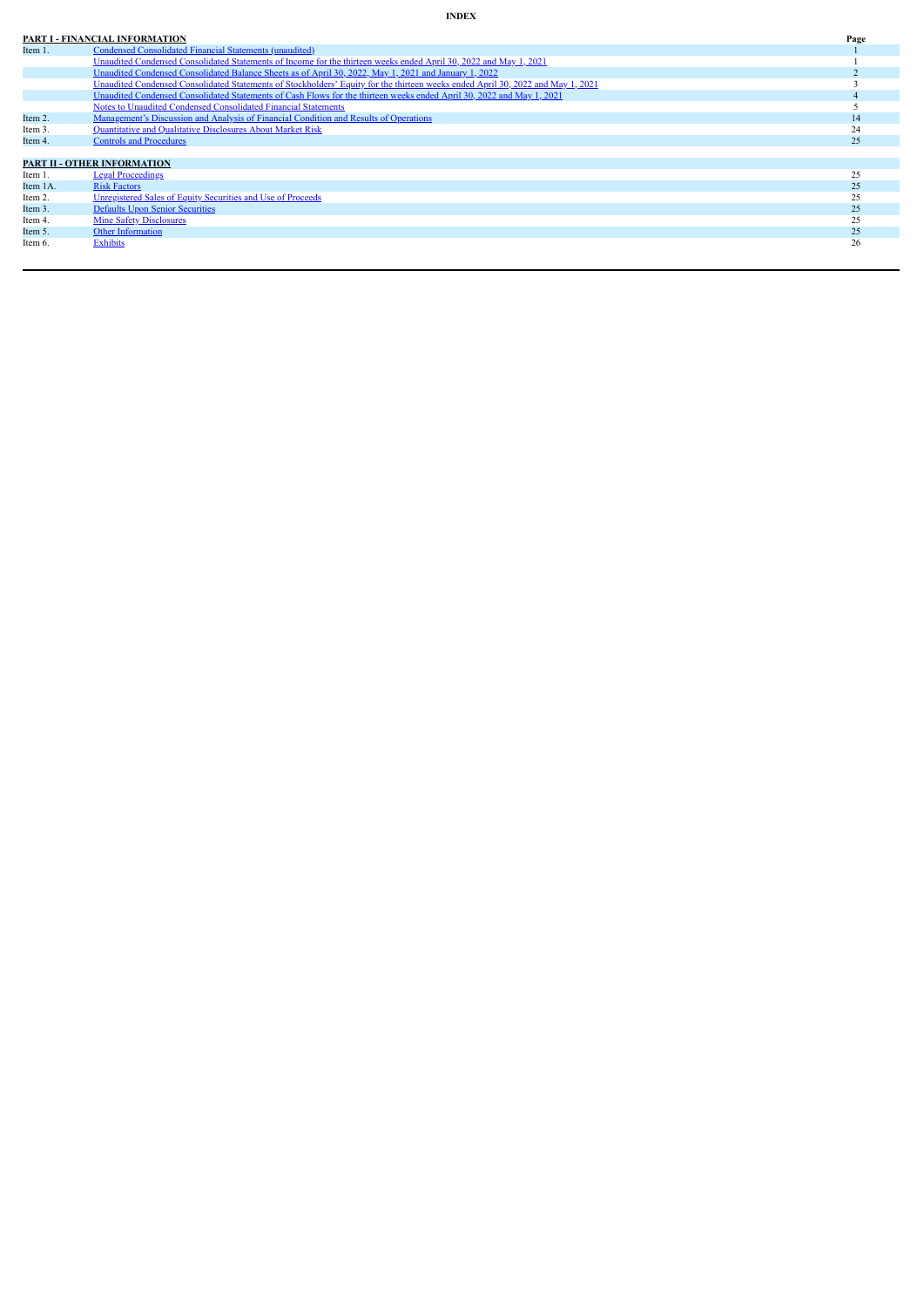**INDEX**

<span id="page-1-0"></span>

|  |  |  | <b>PART I - FINANCIAL INFORMATION</b> |
|--|--|--|---------------------------------------|
|--|--|--|---------------------------------------|

|          | PART I - FINANCIAL INFORMATION                                                                                                  | Page |
|----------|---------------------------------------------------------------------------------------------------------------------------------|------|
| Item 1.  | Condensed Consolidated Financial Statements (unaudited)                                                                         |      |
|          | Unaudited Condensed Consolidated Statements of Income for the thirteen weeks ended April 30, 2022 and May 1, 2021               |      |
|          | Unaudited Condensed Consolidated Balance Sheets as of April 30, 2022, May 1, 2021 and January 1, 2022                           |      |
|          | Unaudited Condensed Consolidated Statements of Stockholders' Equity for the thirteen weeks ended April 30, 2022 and May 1, 2021 |      |
|          | Unaudited Condensed Consolidated Statements of Cash Flows for the thirteen weeks ended April 30, 2022 and May 1, 2021           |      |
|          | Notes to Unaudited Condensed Consolidated Financial Statements                                                                  |      |
| Item 2.  | Management's Discussion and Analysis of Financial Condition and Results of Operations                                           | 14   |
| Item 3.  | Quantitative and Qualitative Disclosures About Market Risk                                                                      | 24   |
| Item 4.  | <b>Controls and Procedures</b>                                                                                                  | 25   |
|          |                                                                                                                                 |      |
|          | <b>PART II - OTHER INFORMATION</b>                                                                                              |      |
| Item 1.  | <b>Legal Proceedings</b>                                                                                                        | 25   |
| Item 1A. | <b>Risk Factors</b>                                                                                                             | 25   |
| Item 2.  | Unregistered Sales of Equity Securities and Use of Proceeds                                                                     |      |
| Item 3.  | <b>Defaults Upon Senior Securities</b>                                                                                          | 25   |
| Item 4.  | <b>Mine Safety Disclosures</b>                                                                                                  |      |
| Item 5.  | Other Information                                                                                                               | 25   |
| Item 6.  | <b>Exhibits</b>                                                                                                                 | 26   |
|          |                                                                                                                                 |      |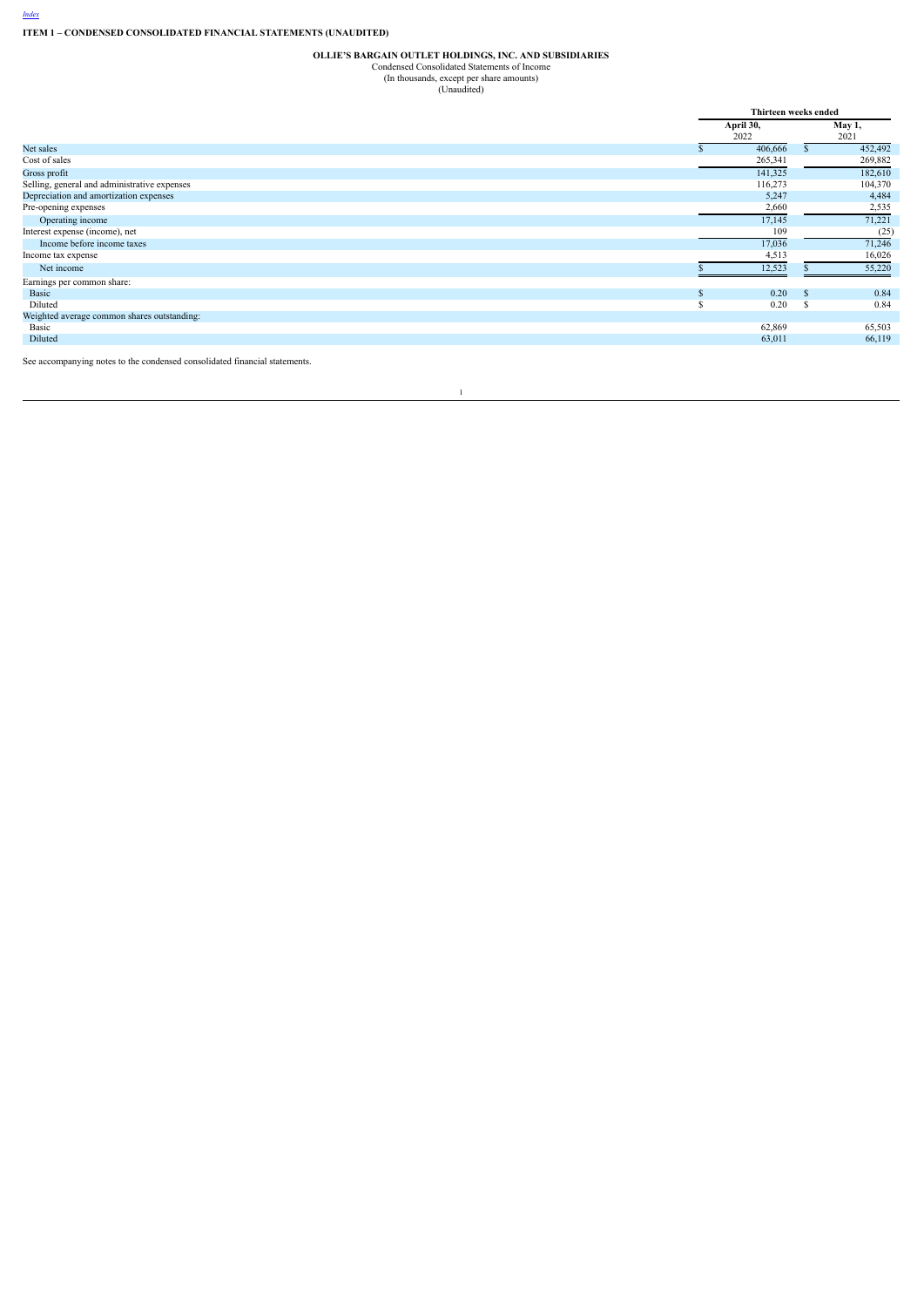# <span id="page-2-1"></span><span id="page-2-0"></span>**ITEM 1 – CONDENSED CONSOLIDATED FINANCIAL STATEMENTS (UNAUDITED)**

# **OLLIE'S BARGAIN OUTLET HOLDINGS, INC. AND SUBSIDIARIES**<br>
Condensed Consolidated Statements of Income<br>
(In thousands, except per share amounts)<br>
(Unaudited)

|                                              |                   | Thirteen weeks ended |                |  |
|----------------------------------------------|-------------------|----------------------|----------------|--|
|                                              | April 30,<br>2022 |                      | May 1,<br>2021 |  |
| Net sales                                    | 406,666           |                      | 452,492        |  |
| Cost of sales                                | 265,341           |                      | 269,882        |  |
| Gross profit                                 | 141,325           |                      | 182,610        |  |
| Selling, general and administrative expenses | 116,273           |                      | 104,370        |  |
| Depreciation and amortization expenses       | 5,247             |                      | 4,484          |  |
| Pre-opening expenses                         | 2,660             |                      | 2,535          |  |
| Operating income                             | 17,145            |                      | 71,221         |  |
| Interest expense (income), net               |                   | 109                  | (25)           |  |
| Income before income taxes                   | 17,036            |                      | 71,246         |  |
| Income tax expense                           | 4,513             |                      | 16,026         |  |
| Net income                                   | 12,523            |                      | 55,220         |  |
| Earnings per common share:                   |                   |                      |                |  |
| <b>Basic</b>                                 | 0.20<br>S.        | <sup>S</sup>         | 0.84           |  |
| Diluted                                      | 0.20<br>ъ         | S                    | 0.84           |  |
| Weighted average common shares outstanding:  |                   |                      |                |  |
| Basic                                        | 62,869            |                      | 65,503         |  |
| Diluted                                      | 63,011            |                      | 66,119         |  |
|                                              |                   |                      |                |  |

1

See accompanying notes to the condensed consolidated financial statements.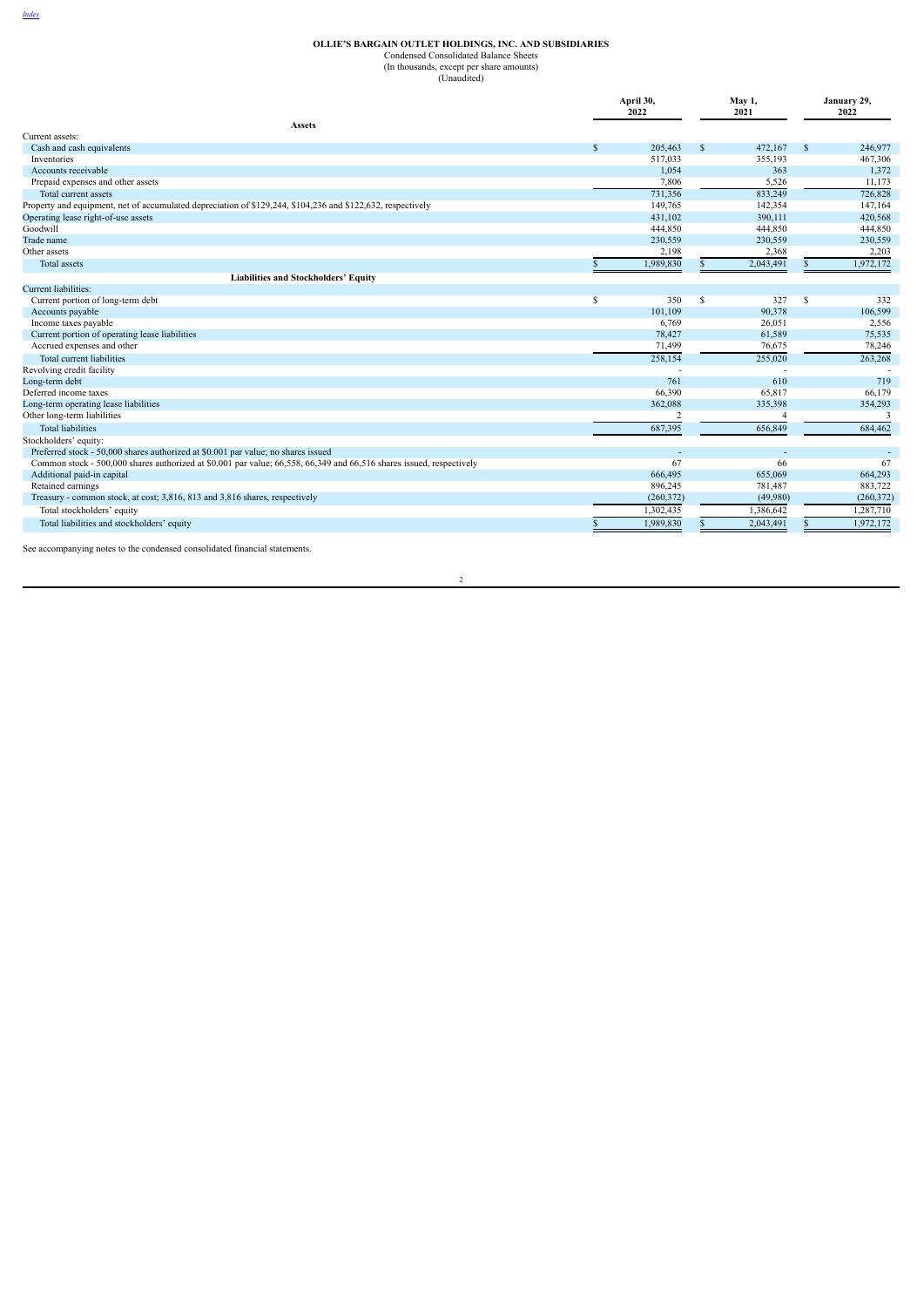# **OLLIE'S BARGAIN OUTLET HOLDINGS, INC. AND SUBSIDIARIES**<br>
Condensed Consolidated Balance Sheets<br>
(In thousands, except per share amounts)<br>
(Unaudited)

<span id="page-3-0"></span>

| <b>Assets</b><br>Current assets:<br>$\mathbb{S}$<br>472,167<br>Cash and cash equivalents<br>205,463<br>\$<br>$\mathbf{s}$<br>246,977<br>517,033<br>355,193<br>467,306<br>Inventories<br>1,054<br>363<br>1,372<br>Accounts receivable<br>Prepaid expenses and other assets<br>7,806<br>5,526<br>11,173<br>731,356<br>833,249<br>726,828<br>Total current assets<br>149,765<br>142,354<br>147,164<br>Property and equipment, net of accumulated depreciation of \$129,244, \$104,236 and \$122,632, respectively<br>390,111<br>431,102<br>420,568<br>444,850<br>444,850<br>444,850<br>230,559<br>230,559<br>230,559<br>2,198<br>2,368<br>2,203<br>1,972,172<br>2,043,491<br>1,989,830<br><b>Total</b> assets<br>$\mathbf{s}$<br>\$.<br><b>Liabilities and Stockholders' Equity</b><br>s<br>327<br>s<br>Current portion of long-term debt<br>350<br>S<br>332<br>101,109<br>90,378<br>Accounts payable<br>106,599<br>Income taxes payable<br>6,769<br>26,051<br>2,556<br>Current portion of operating lease liabilities<br>75,535<br>78,427<br>61,589<br>Accrued expenses and other<br>71,499<br>76,675<br>78,246<br>258,154<br>Total current liabilities<br>255,020<br>263,268<br>Revolving credit facility<br>761<br>610<br>719<br>66,390<br>65,817<br>66,179<br>Long-term operating lease liabilities<br>362,088<br>335,398<br>354,293<br>$\overline{2}$<br>3<br>687,395<br>684,462<br><b>Total liabilities</b><br>656,849<br>Preferred stock - 50,000 shares authorized at \$0.001 par value; no shares issued<br>$\overline{a}$<br>Common stock - 500,000 shares authorized at \$0.001 par value; 66,558, 66,349 and 66,516 shares issued, respectively<br>67<br>66<br>Additional paid-in capital<br>666,495<br>655,069<br>664,293<br>Retained earnings<br>896,245<br>781,487<br>883,722<br>(49,980)<br>Treasury - common stock, at cost; 3,816, 813 and 3,816 shares, respectively<br>(260, 372)<br>Total stockholders' equity<br>1,302,435<br>1,386,642<br>1,972,172<br>Total liabilities and stockholders' equity<br>1,989,830<br>2,043,491 |  | April 30,<br>2022 | May 1,<br>2021 | January 29,<br>2022 |
|-------------------------------------------------------------------------------------------------------------------------------------------------------------------------------------------------------------------------------------------------------------------------------------------------------------------------------------------------------------------------------------------------------------------------------------------------------------------------------------------------------------------------------------------------------------------------------------------------------------------------------------------------------------------------------------------------------------------------------------------------------------------------------------------------------------------------------------------------------------------------------------------------------------------------------------------------------------------------------------------------------------------------------------------------------------------------------------------------------------------------------------------------------------------------------------------------------------------------------------------------------------------------------------------------------------------------------------------------------------------------------------------------------------------------------------------------------------------------------------------------------------------------------------------------------------------------------------------------------------------------------------------------------------------------------------------------------------------------------------------------------------------------------------------------------------------------------------------------------------------------------------------------------------------------------------------------------------------------------------------------------------------------------------------------|--|-------------------|----------------|---------------------|
|                                                                                                                                                                                                                                                                                                                                                                                                                                                                                                                                                                                                                                                                                                                                                                                                                                                                                                                                                                                                                                                                                                                                                                                                                                                                                                                                                                                                                                                                                                                                                                                                                                                                                                                                                                                                                                                                                                                                                                                                                                                 |  |                   |                |                     |
|                                                                                                                                                                                                                                                                                                                                                                                                                                                                                                                                                                                                                                                                                                                                                                                                                                                                                                                                                                                                                                                                                                                                                                                                                                                                                                                                                                                                                                                                                                                                                                                                                                                                                                                                                                                                                                                                                                                                                                                                                                                 |  |                   |                |                     |
|                                                                                                                                                                                                                                                                                                                                                                                                                                                                                                                                                                                                                                                                                                                                                                                                                                                                                                                                                                                                                                                                                                                                                                                                                                                                                                                                                                                                                                                                                                                                                                                                                                                                                                                                                                                                                                                                                                                                                                                                                                                 |  |                   |                |                     |
|                                                                                                                                                                                                                                                                                                                                                                                                                                                                                                                                                                                                                                                                                                                                                                                                                                                                                                                                                                                                                                                                                                                                                                                                                                                                                                                                                                                                                                                                                                                                                                                                                                                                                                                                                                                                                                                                                                                                                                                                                                                 |  |                   |                |                     |
| Operating lease right-of-use assets<br>Goodwill<br>Trade name<br>Other assets<br>Current liabilities:<br>Long-term debt<br>Deferred income taxes<br>Other long-term liabilities<br>Stockholders' equity:                                                                                                                                                                                                                                                                                                                                                                                                                                                                                                                                                                                                                                                                                                                                                                                                                                                                                                                                                                                                                                                                                                                                                                                                                                                                                                                                                                                                                                                                                                                                                                                                                                                                                                                                                                                                                                        |  |                   |                |                     |
|                                                                                                                                                                                                                                                                                                                                                                                                                                                                                                                                                                                                                                                                                                                                                                                                                                                                                                                                                                                                                                                                                                                                                                                                                                                                                                                                                                                                                                                                                                                                                                                                                                                                                                                                                                                                                                                                                                                                                                                                                                                 |  |                   |                |                     |
|                                                                                                                                                                                                                                                                                                                                                                                                                                                                                                                                                                                                                                                                                                                                                                                                                                                                                                                                                                                                                                                                                                                                                                                                                                                                                                                                                                                                                                                                                                                                                                                                                                                                                                                                                                                                                                                                                                                                                                                                                                                 |  |                   |                |                     |
|                                                                                                                                                                                                                                                                                                                                                                                                                                                                                                                                                                                                                                                                                                                                                                                                                                                                                                                                                                                                                                                                                                                                                                                                                                                                                                                                                                                                                                                                                                                                                                                                                                                                                                                                                                                                                                                                                                                                                                                                                                                 |  |                   |                |                     |
|                                                                                                                                                                                                                                                                                                                                                                                                                                                                                                                                                                                                                                                                                                                                                                                                                                                                                                                                                                                                                                                                                                                                                                                                                                                                                                                                                                                                                                                                                                                                                                                                                                                                                                                                                                                                                                                                                                                                                                                                                                                 |  |                   |                |                     |
|                                                                                                                                                                                                                                                                                                                                                                                                                                                                                                                                                                                                                                                                                                                                                                                                                                                                                                                                                                                                                                                                                                                                                                                                                                                                                                                                                                                                                                                                                                                                                                                                                                                                                                                                                                                                                                                                                                                                                                                                                                                 |  |                   |                |                     |
|                                                                                                                                                                                                                                                                                                                                                                                                                                                                                                                                                                                                                                                                                                                                                                                                                                                                                                                                                                                                                                                                                                                                                                                                                                                                                                                                                                                                                                                                                                                                                                                                                                                                                                                                                                                                                                                                                                                                                                                                                                                 |  |                   |                |                     |
|                                                                                                                                                                                                                                                                                                                                                                                                                                                                                                                                                                                                                                                                                                                                                                                                                                                                                                                                                                                                                                                                                                                                                                                                                                                                                                                                                                                                                                                                                                                                                                                                                                                                                                                                                                                                                                                                                                                                                                                                                                                 |  |                   |                |                     |
|                                                                                                                                                                                                                                                                                                                                                                                                                                                                                                                                                                                                                                                                                                                                                                                                                                                                                                                                                                                                                                                                                                                                                                                                                                                                                                                                                                                                                                                                                                                                                                                                                                                                                                                                                                                                                                                                                                                                                                                                                                                 |  |                   |                |                     |
|                                                                                                                                                                                                                                                                                                                                                                                                                                                                                                                                                                                                                                                                                                                                                                                                                                                                                                                                                                                                                                                                                                                                                                                                                                                                                                                                                                                                                                                                                                                                                                                                                                                                                                                                                                                                                                                                                                                                                                                                                                                 |  |                   |                |                     |
|                                                                                                                                                                                                                                                                                                                                                                                                                                                                                                                                                                                                                                                                                                                                                                                                                                                                                                                                                                                                                                                                                                                                                                                                                                                                                                                                                                                                                                                                                                                                                                                                                                                                                                                                                                                                                                                                                                                                                                                                                                                 |  |                   |                |                     |
|                                                                                                                                                                                                                                                                                                                                                                                                                                                                                                                                                                                                                                                                                                                                                                                                                                                                                                                                                                                                                                                                                                                                                                                                                                                                                                                                                                                                                                                                                                                                                                                                                                                                                                                                                                                                                                                                                                                                                                                                                                                 |  |                   |                |                     |
|                                                                                                                                                                                                                                                                                                                                                                                                                                                                                                                                                                                                                                                                                                                                                                                                                                                                                                                                                                                                                                                                                                                                                                                                                                                                                                                                                                                                                                                                                                                                                                                                                                                                                                                                                                                                                                                                                                                                                                                                                                                 |  |                   |                |                     |
|                                                                                                                                                                                                                                                                                                                                                                                                                                                                                                                                                                                                                                                                                                                                                                                                                                                                                                                                                                                                                                                                                                                                                                                                                                                                                                                                                                                                                                                                                                                                                                                                                                                                                                                                                                                                                                                                                                                                                                                                                                                 |  |                   |                |                     |
|                                                                                                                                                                                                                                                                                                                                                                                                                                                                                                                                                                                                                                                                                                                                                                                                                                                                                                                                                                                                                                                                                                                                                                                                                                                                                                                                                                                                                                                                                                                                                                                                                                                                                                                                                                                                                                                                                                                                                                                                                                                 |  |                   |                |                     |
|                                                                                                                                                                                                                                                                                                                                                                                                                                                                                                                                                                                                                                                                                                                                                                                                                                                                                                                                                                                                                                                                                                                                                                                                                                                                                                                                                                                                                                                                                                                                                                                                                                                                                                                                                                                                                                                                                                                                                                                                                                                 |  |                   |                |                     |
|                                                                                                                                                                                                                                                                                                                                                                                                                                                                                                                                                                                                                                                                                                                                                                                                                                                                                                                                                                                                                                                                                                                                                                                                                                                                                                                                                                                                                                                                                                                                                                                                                                                                                                                                                                                                                                                                                                                                                                                                                                                 |  |                   |                |                     |
|                                                                                                                                                                                                                                                                                                                                                                                                                                                                                                                                                                                                                                                                                                                                                                                                                                                                                                                                                                                                                                                                                                                                                                                                                                                                                                                                                                                                                                                                                                                                                                                                                                                                                                                                                                                                                                                                                                                                                                                                                                                 |  |                   |                |                     |
|                                                                                                                                                                                                                                                                                                                                                                                                                                                                                                                                                                                                                                                                                                                                                                                                                                                                                                                                                                                                                                                                                                                                                                                                                                                                                                                                                                                                                                                                                                                                                                                                                                                                                                                                                                                                                                                                                                                                                                                                                                                 |  |                   |                |                     |
|                                                                                                                                                                                                                                                                                                                                                                                                                                                                                                                                                                                                                                                                                                                                                                                                                                                                                                                                                                                                                                                                                                                                                                                                                                                                                                                                                                                                                                                                                                                                                                                                                                                                                                                                                                                                                                                                                                                                                                                                                                                 |  |                   |                |                     |
|                                                                                                                                                                                                                                                                                                                                                                                                                                                                                                                                                                                                                                                                                                                                                                                                                                                                                                                                                                                                                                                                                                                                                                                                                                                                                                                                                                                                                                                                                                                                                                                                                                                                                                                                                                                                                                                                                                                                                                                                                                                 |  |                   |                |                     |
|                                                                                                                                                                                                                                                                                                                                                                                                                                                                                                                                                                                                                                                                                                                                                                                                                                                                                                                                                                                                                                                                                                                                                                                                                                                                                                                                                                                                                                                                                                                                                                                                                                                                                                                                                                                                                                                                                                                                                                                                                                                 |  |                   |                |                     |
|                                                                                                                                                                                                                                                                                                                                                                                                                                                                                                                                                                                                                                                                                                                                                                                                                                                                                                                                                                                                                                                                                                                                                                                                                                                                                                                                                                                                                                                                                                                                                                                                                                                                                                                                                                                                                                                                                                                                                                                                                                                 |  |                   |                |                     |
|                                                                                                                                                                                                                                                                                                                                                                                                                                                                                                                                                                                                                                                                                                                                                                                                                                                                                                                                                                                                                                                                                                                                                                                                                                                                                                                                                                                                                                                                                                                                                                                                                                                                                                                                                                                                                                                                                                                                                                                                                                                 |  |                   |                |                     |
|                                                                                                                                                                                                                                                                                                                                                                                                                                                                                                                                                                                                                                                                                                                                                                                                                                                                                                                                                                                                                                                                                                                                                                                                                                                                                                                                                                                                                                                                                                                                                                                                                                                                                                                                                                                                                                                                                                                                                                                                                                                 |  |                   |                |                     |
|                                                                                                                                                                                                                                                                                                                                                                                                                                                                                                                                                                                                                                                                                                                                                                                                                                                                                                                                                                                                                                                                                                                                                                                                                                                                                                                                                                                                                                                                                                                                                                                                                                                                                                                                                                                                                                                                                                                                                                                                                                                 |  |                   |                | 67                  |
|                                                                                                                                                                                                                                                                                                                                                                                                                                                                                                                                                                                                                                                                                                                                                                                                                                                                                                                                                                                                                                                                                                                                                                                                                                                                                                                                                                                                                                                                                                                                                                                                                                                                                                                                                                                                                                                                                                                                                                                                                                                 |  |                   |                |                     |
|                                                                                                                                                                                                                                                                                                                                                                                                                                                                                                                                                                                                                                                                                                                                                                                                                                                                                                                                                                                                                                                                                                                                                                                                                                                                                                                                                                                                                                                                                                                                                                                                                                                                                                                                                                                                                                                                                                                                                                                                                                                 |  |                   |                |                     |
|                                                                                                                                                                                                                                                                                                                                                                                                                                                                                                                                                                                                                                                                                                                                                                                                                                                                                                                                                                                                                                                                                                                                                                                                                                                                                                                                                                                                                                                                                                                                                                                                                                                                                                                                                                                                                                                                                                                                                                                                                                                 |  |                   |                | (260, 372)          |
|                                                                                                                                                                                                                                                                                                                                                                                                                                                                                                                                                                                                                                                                                                                                                                                                                                                                                                                                                                                                                                                                                                                                                                                                                                                                                                                                                                                                                                                                                                                                                                                                                                                                                                                                                                                                                                                                                                                                                                                                                                                 |  |                   |                | 1,287,710           |
|                                                                                                                                                                                                                                                                                                                                                                                                                                                                                                                                                                                                                                                                                                                                                                                                                                                                                                                                                                                                                                                                                                                                                                                                                                                                                                                                                                                                                                                                                                                                                                                                                                                                                                                                                                                                                                                                                                                                                                                                                                                 |  |                   |                |                     |

See accompanying notes to the condensed consolidated financial statements.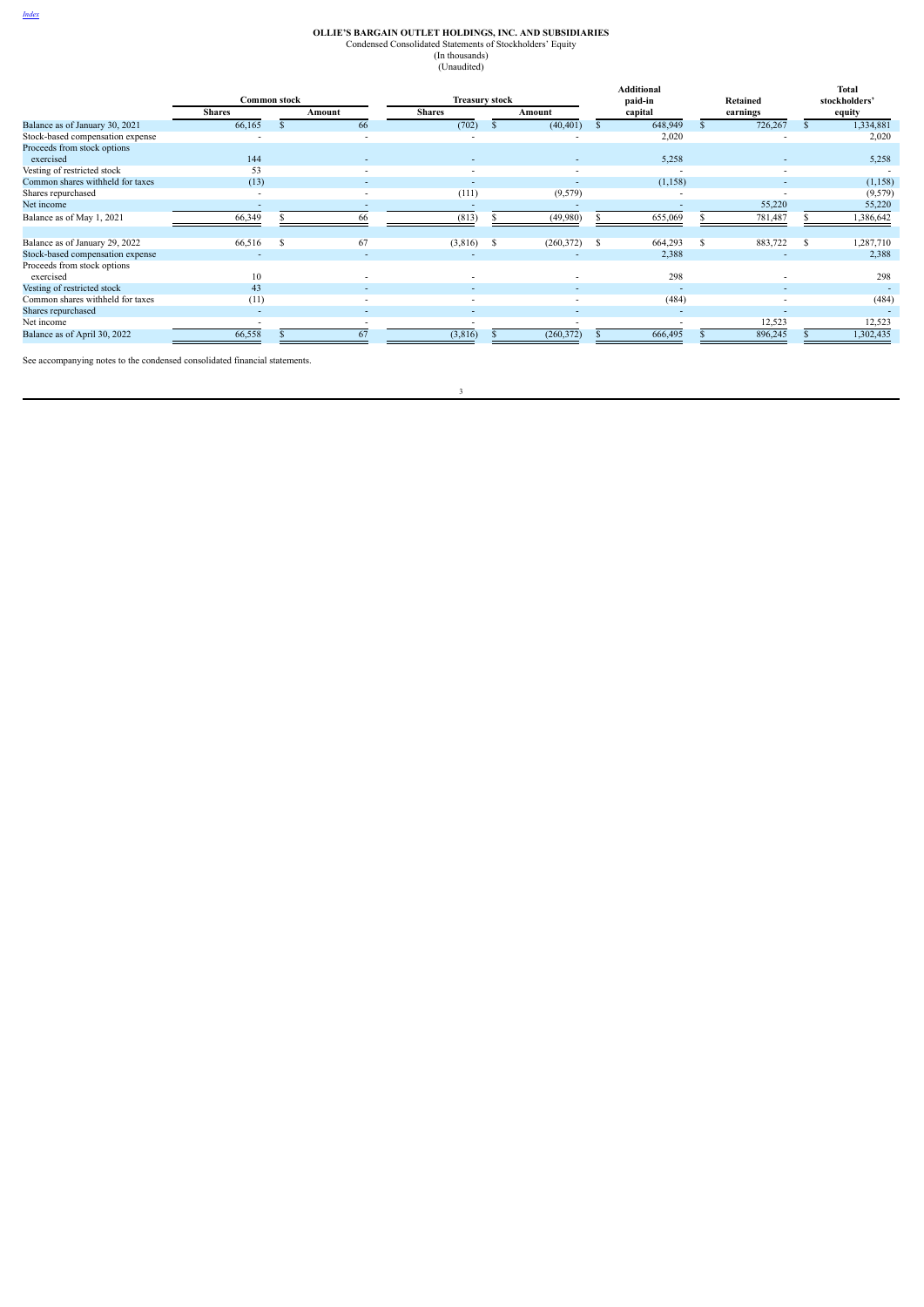# **OLLIE'S BARGAIN OUTLET HOLDINGS, INC. AND SUBSIDIARIES**<br>
Condensed Consolidated Statements of Stockholders' Equity<br>
(In thousands)<br>
(Unaudited)

<span id="page-4-0"></span>

|                                  | <b>Common stock</b>      |                          |                          | <b>Treasury stock</b>    | <b>Additional</b><br>paid-in | <b>Retained</b>          | <b>Total</b><br>stockholders' |
|----------------------------------|--------------------------|--------------------------|--------------------------|--------------------------|------------------------------|--------------------------|-------------------------------|
|                                  | <b>Shares</b>            | Amount                   | <b>Shares</b>            | Amount                   | capital                      | earnings                 | equity                        |
| Balance as of January 30, 2021   | 66,165                   | 66                       | (702)                    | (40, 401)                | 648,949                      | 726,267                  | 1,334,881                     |
| Stock-based compensation expense |                          |                          |                          |                          | 2,020                        |                          | 2,020                         |
| Proceeds from stock options      |                          |                          |                          |                          |                              |                          |                               |
| exercised                        | 144                      | $\sim$                   | $\overline{\phantom{a}}$ | $\sim$                   | 5,258                        | $\overline{\phantom{0}}$ | 5,258                         |
| Vesting of restricted stock      | 53                       | $\overline{\phantom{a}}$ | $\overline{\phantom{a}}$ | $\overline{\phantom{0}}$ |                              | $\overline{\phantom{0}}$ |                               |
| Common shares withheld for taxes | (13)                     | $\sim$                   | $\overline{\phantom{0}}$ | $\sim$                   | (1, 158)                     | $\overline{\phantom{a}}$ | (1,158)                       |
| Shares repurchased               | ۰                        | $\overline{\phantom{a}}$ | (111)                    | (9, 579)                 |                              | $\overline{\phantom{a}}$ | (9,579)                       |
| Net income                       |                          |                          |                          |                          |                              | 55,220                   | 55,220                        |
| Balance as of May 1, 2021        | 66,349                   | 66                       | (813)                    | (49,980)                 | 655,069                      | 781,487                  | 1,386,642                     |
| Balance as of January 29, 2022   | 66,516                   | 67<br>\$.                | (3,816)                  | (260, 372)<br>-S         | 664,293                      | 883,722                  | 1,287,710                     |
| Stock-based compensation expense | $\overline{\phantom{a}}$ | $\blacksquare$           | $\overline{\phantom{0}}$ |                          | 2,388                        | $\overline{\phantom{a}}$ | 2,388                         |
| Proceeds from stock options      |                          |                          |                          |                          |                              |                          |                               |
| exercised                        | 10                       |                          |                          |                          | 298                          |                          | 298                           |
| Vesting of restricted stock      | 43                       | $\sim$                   | $\sim$                   | $\sim$                   | ۰                            | $\overline{\phantom{a}}$ |                               |
| Common shares withheld for taxes | (11)                     | $\overline{\phantom{a}}$ | $\overline{\phantom{a}}$ | $\sim$                   | (484)                        | $\overline{\phantom{0}}$ | (484)                         |
| Shares repurchased               | -                        | $\overline{\phantom{a}}$ | $\overline{\phantom{a}}$ | $\sim$                   |                              | $\overline{\phantom{a}}$ |                               |
| Net income                       |                          |                          |                          |                          |                              | 12,523                   | 12,523                        |
| Balance as of April 30, 2022     | 66,558                   |                          | (3,816)                  | (260, 372)               | 666,495                      | 896,245                  | 1,302,435                     |

See accompanying notes to the condensed consolidated financial statements.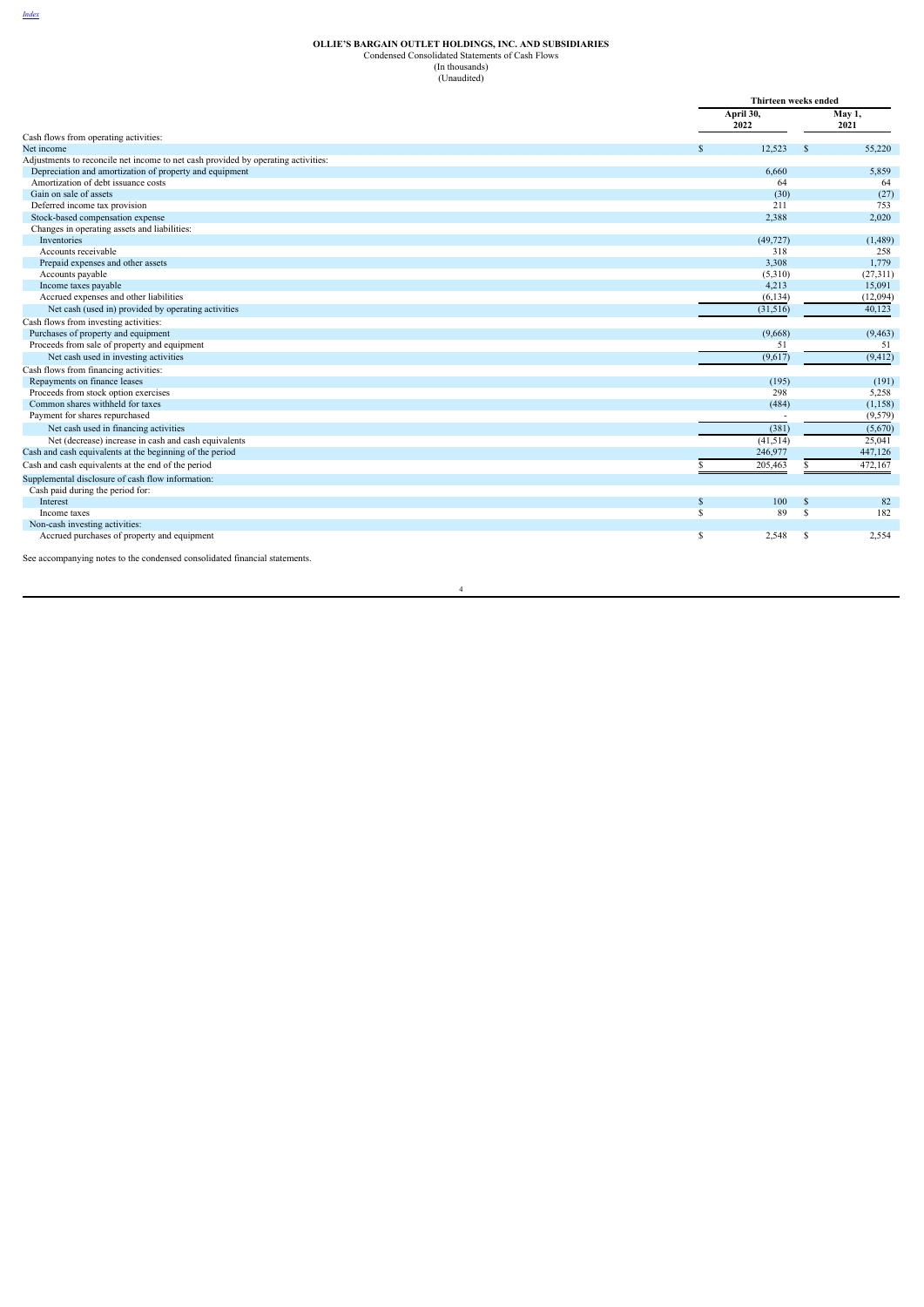# **OLLIE'S BARGAIN OUTLET HOLDINGS, INC. AND SUBSIDIARIES**<br>
Condensed Consolidated Statements of Cash Flows<br>
(In thousands)<br>
(Unaudited)

<span id="page-5-0"></span>

|                                                                                   |             | <b>Thirteen weeks ended</b> |                |
|-----------------------------------------------------------------------------------|-------------|-----------------------------|----------------|
|                                                                                   | April 30,   | May 1,                      |                |
|                                                                                   | 2022        | 2021                        |                |
| Cash flows from operating activities:                                             |             |                             |                |
| Net income                                                                        | 12,523<br>S | <b>S</b>                    | 55,220         |
| Adjustments to reconcile net income to net cash provided by operating activities: |             |                             |                |
| Depreciation and amortization of property and equipment                           | 6,660       |                             | 5,859          |
| Amortization of debt issuance costs                                               | 64          |                             | 64             |
| Gain on sale of assets<br>Deferred income tax provision                           | (30)<br>211 |                             | (27)<br>753    |
|                                                                                   |             |                             |                |
| Stock-based compensation expense<br>Changes in operating assets and liabilities:  | 2,388       |                             | 2,020          |
| Inventories                                                                       | (49, 727)   |                             |                |
| Accounts receivable                                                               | 318         |                             | (1,489)<br>258 |
| Prepaid expenses and other assets                                                 | 3,308       |                             | 1,779          |
| Accounts payable                                                                  | (5,310)     |                             | (27, 311)      |
| Income taxes payable                                                              | 4,213       |                             | 15,091         |
| Accrued expenses and other liabilities                                            | (6, 134)    |                             | (12,094)       |
| Net cash (used in) provided by operating activities                               | (31, 516)   |                             | 40,123         |
|                                                                                   |             |                             |                |
| Cash flows from investing activities:                                             |             |                             |                |
| Purchases of property and equipment                                               | (9,668)     |                             | (9, 463)<br>51 |
| Proceeds from sale of property and equipment                                      | 51          |                             |                |
| Net cash used in investing activities                                             | (9,617)     |                             | (9, 412)       |
| Cash flows from financing activities:                                             |             |                             |                |
| Repayments on finance leases                                                      | (195)       |                             | (191)          |
| Proceeds from stock option exercises                                              | 298         |                             | 5,258          |
| Common shares withheld for taxes                                                  | (484)       |                             | (1,158)        |
| Payment for shares repurchased                                                    |             |                             | (9,579)        |
| Net cash used in financing activities                                             | (381)       |                             | (5,670)        |
| Net (decrease) increase in cash and cash equivalents                              | (41, 514)   |                             | 25,041         |
| Cash and cash equivalents at the beginning of the period                          | 246,977     |                             | 447,126        |
| Cash and cash equivalents at the end of the period                                | 205,463     |                             | 472,167        |
| Supplemental disclosure of cash flow information:                                 |             |                             |                |
| Cash paid during the period for:                                                  |             |                             |                |
| Interest                                                                          | 100<br>\$   | <sup>\$</sup>               | 82             |
| Income taxes                                                                      | S<br>89     | -S                          | 182            |
| Non-cash investing activities:                                                    |             |                             |                |
| Accrued purchases of property and equipment                                       | S<br>2,548  | -S                          | 2,554          |

See accompanying notes to the condensed consolidated financial statements.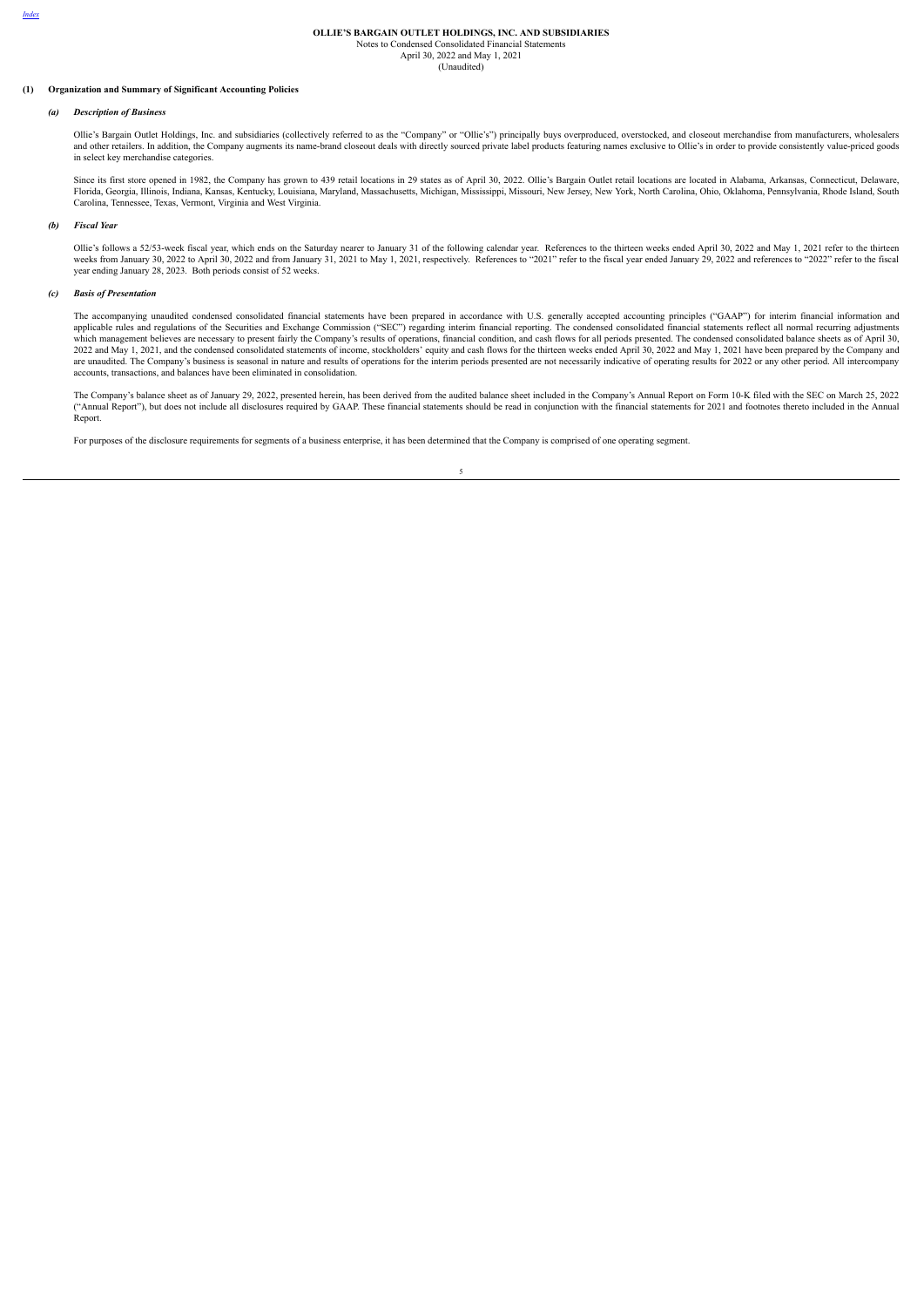Notes to Condensed Consolidated Financial Statements April 30, 2022 and May 1, 2021

(Unaudited)

## <span id="page-6-0"></span>**(1) Organization and Summary of Significant Accounting Policies**

#### *(a) Description of Business*

Ollie's Bargain Outlet Holdings, Inc. and subsidiaries (collectively referred to as the "Company" or "Ollie's") principally buys overproduced, overstocked, and closeout merchandise from manufacturers, wholesalers and other retailers. In addition, the Company augments its name-brand closeout deals with directly sourced private label products featuring names exclusive to Ollie's in order to provide consistently value-priced goods in select key merchandise categories.

Since its first store opened in 1982, the Company has grown to 439 retail locations in 29 states as of April 30, 2022. Ollie's Bargain Outlet retail locations are located in Alabama, Arkansas, Connecticut, Delaware, Florida, Georgia, Illinois, Indiana, Kansas, Kentucky, Louisiana, Maryland, Massachusetts, Michigan, Mississippi, Missouri, New Jersey, New York, North Carolina, Ohio, Oklahoma, Pennsylvania, Rhode Island, South Carolina, Tennessee, Texas, Vermont, Virginia and West Virginia.

#### *(b) Fiscal Year*

Ollie's follows a 52/53-week fiscal year, which ends on the Saturday nearer to January 31 of the following calendar year. References to the thirteen weeks ended April 30, 2022 and May 1, 2021 refer to the thirteen weeks from January 30, 2022 to April 30, 2022 and from January 31, 2021 to May 1, 2021, respectively. References to "2021" refer to the fiscal year ended January 29, 2022 and references to "2022" refer to the fiscal year ending January 28, 2023. Both periods consist of 52 weeks.

## *(c) Basis of Presentation*

The accompanying unaudited condensed consolidated financial statements have been prepared in accordance with U.S. generally accepted accounting principles ("GAAP") for interim financial information and<br>applicable rules and which management believes are necessary to present fairly the Company's results of operations, financial condition, and cash flows for all periods presented. The condensed consolidated balance sheets as of April 30,<br>2022 a are unaudited. The Company's business is seasonal in nature and results of operations for the interim periods presented are not necessarily indicative of operating results for 2022 or any other period. All intercompany accounts, transactions, and balances have been eliminated in consolidation.

The Company's balance sheet as of January 29, 2022, presented herein, has been derived from the audited balance sheet included in the Company's Annual Report on Form 10-K filed with the SEC on March 25, 2022<br>("Annual Repor Report.

For purposes of the disclosure requirements for segments of a business enterprise, it has been determined that the Company is comprised of one operating segment.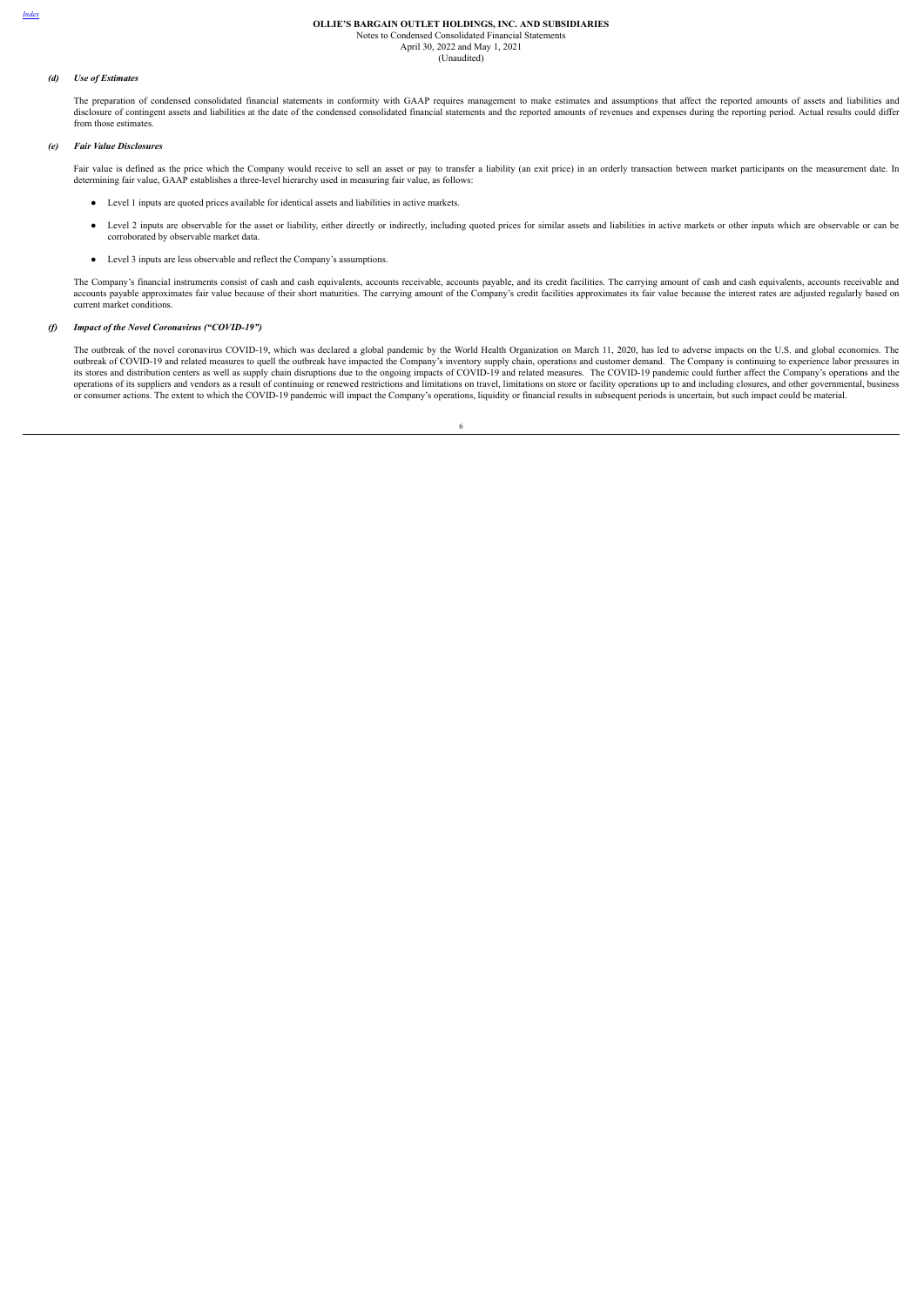Notes to Condensed Consolidated Financial Statements April 30, 2022 and May 1, 2021

(Unaudited)

# *(d) Use of Estimates*

*[Index](#page-1-0)*

The preparation of condensed consolidated financial statements in conformity with GAAP requires management to make estimates and assumptions that affect the reported amounts of assets and liabilities and disclosure of contingent assets and liabilities at the date of the condensed consolidated financial statements and the reported amounts of revenues and expenses during the reporting period. Actual results could differ from those estimates.

#### *(e) Fair Value Disclosures*

Fair value is defined as the price which the Company would receive to sell an asset or pay to transfer a liability (an exit price) in an orderly transaction between market participants on the measurement date. In determining fair value, GAAP establishes a three-level hierarchy used in measuring fair value, as follows:

- Level 1 inputs are quoted prices available for identical assets and liabilities in active markets.
- Level 2 inputs are observable for the asset or liability, either directly or indirectly, including quoted prices for similar assets and liabilities in active markets or other inputs which are observable or can be corroborated by observable market data.
- Level 3 inputs are less observable and reflect the Company's assumptions.

The Company's financial instruments consist of cash and cash equivalents, accounts receivable, accounts payable, and its credit facilities. The carrying amount of cash and cash equivalents, accounts receivable and accounts payable approximates fair value because of their short maturities. The carrying amount of the Company's credit facilities approximates its fair value because the interest rates are adjusted regularly based on current market conditions.

#### *(f) Impact of the Novel Coronavirus ("COVID-19")*

The outbreak of the novel coronavirus COVID-19, which was declared a global pandemic by the World Health Organization on March 11, 2020, has led to adverse impacts on the U.S. and global economies. The outbreak of COVID-19 and related measures to quell the outbreak have impacted the Company's inventory supply chain, operations and customer demand. The Company is continuing to experience labor pressures in<br>its stores and or consumer actions. The extent to which the COVID-19 pandemic will impact the Company's operations, liquidity or financial results in subsequent periods is uncertain, but such impact could be material.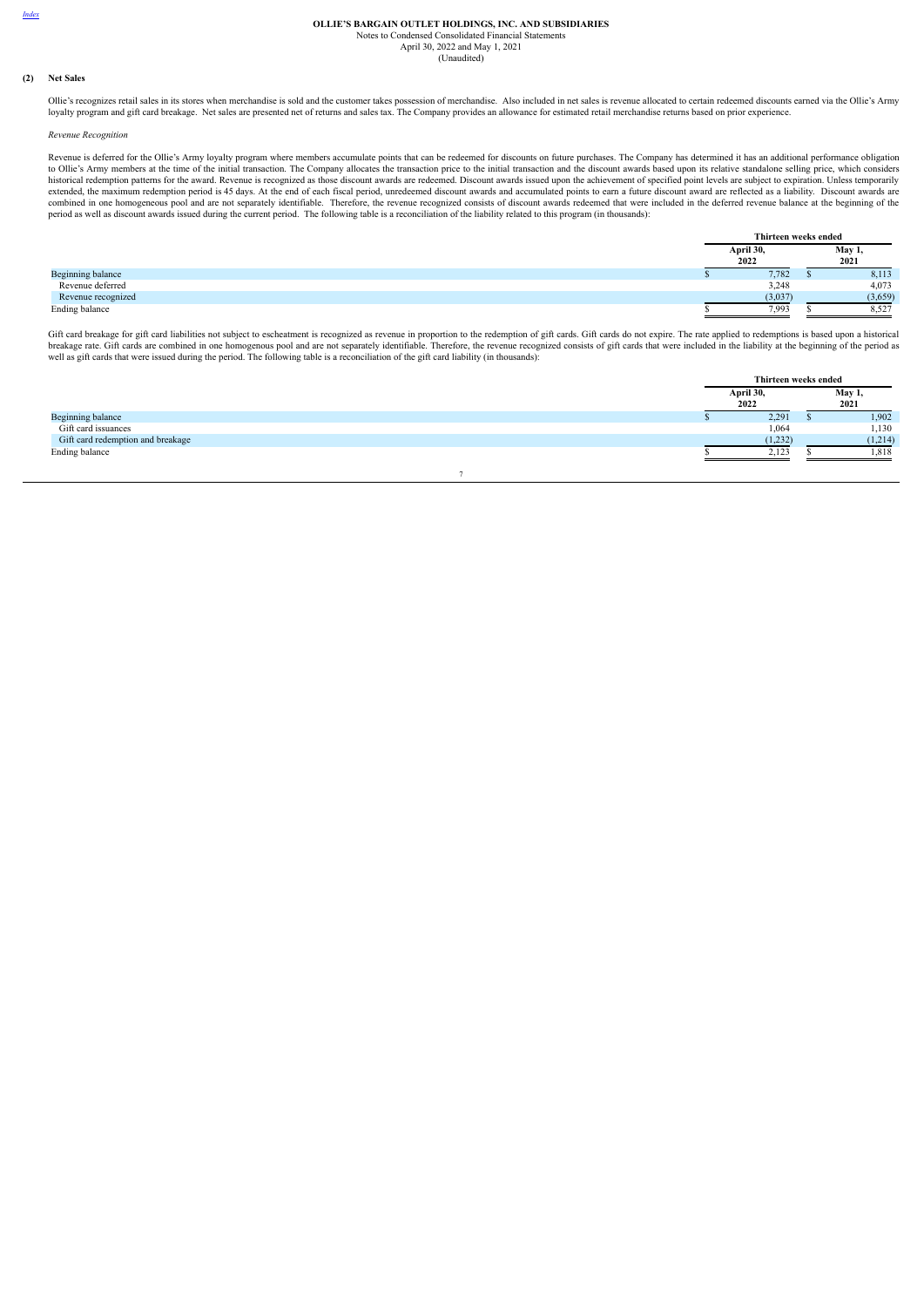Notes to Condensed Consolidated Financial Statements April 30, 2022 and May 1, 2021

(Unaudited)

# **(2) Net Sales**

Ollie's recognizes retail sales in its stores when merchandise is sold and the customer takes possession of merchandise. Also included in net sales is revenue allocated to certain redeemed discounts earned via the Ollie's

#### *Revenue Recognition*

Revenue is deferred for the Ollie's Army loyalty program where members accumulate points that can be redeemed for discounts on future purchases. The Company has determined it has an additional performance obligation to Ollie's Army members at the time of the initial transaction. The Company allocates the transaction price to the initial transaction and the discount awards based upon its relative standalone selling price, which conside historical redemption patterns for the award. Revenue is recognized as those discount awards are redeemed. Discount awards issued upon the achievement of specified point levels are subject to expiration. Unless temporarily combined in one homogeneous pool and are not separately identifiable. Therefore, the revenue recognized consists of discount awards redeemed that were included in the deferred revenue balance at the beginning of the period

|                          |                   | Thirteen weeks ended |
|--------------------------|-------------------|----------------------|
|                          | April 30,<br>2022 | May 1,<br>2021       |
| <b>Beginning balance</b> |                   | 7,782<br>8,113       |
| Revenue deferred         |                   | 3,248<br>4,073       |
| Revenue recognized       |                   | (3,659)<br>(3,037)   |
| Ending balance           |                   | 7,993<br>8,527       |

Gift card breakage for gift card liabilities not subject to escheatment is recognized as revenue in proportion to the redemption of gift cards. Gift cards do not expire. The rate applied to redemptions is based upon a hist

|                                   | Thirteen weeks ended |                |  |
|-----------------------------------|----------------------|----------------|--|
|                                   | April 30,<br>2022    | May 1,<br>2021 |  |
| Beginning balance                 | 2,291                | 1,902          |  |
| Gift card issuances               | 1,064                | 1,130          |  |
| Gift card redemption and breakage | (1,232)              | (1,214)        |  |
| Ending balance                    | 2,123                | 1,818          |  |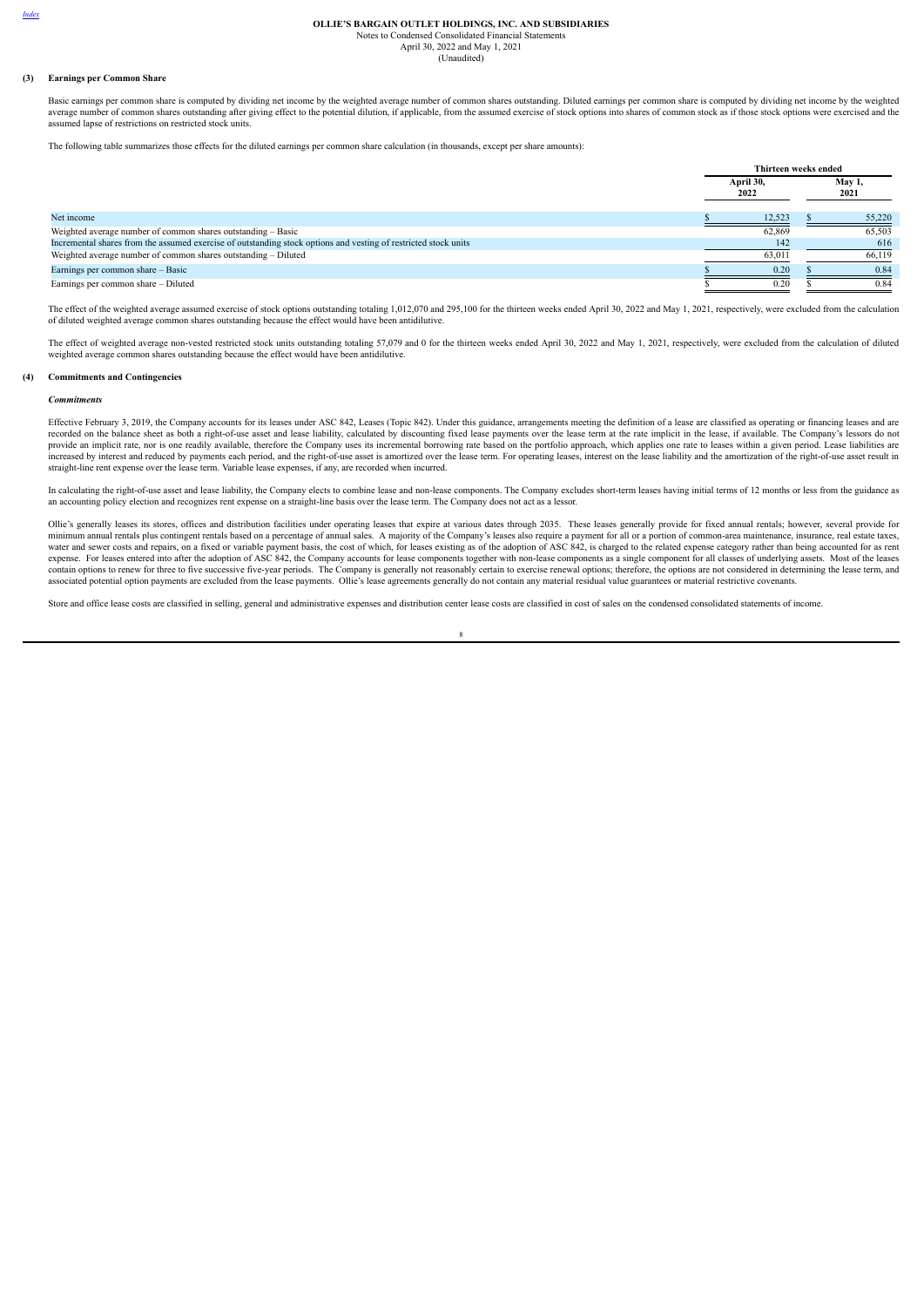Notes to Condensed Consolidated Financial Statements April 30, 2022 and May 1, 2021

(Unaudited)

#### **(3) Earnings per Common Share**

Basic earnings per common share is computed by dividing net income by the weighted average number of common shares outstanding. Diluted earnings per common share is computed by dividing net income by the weighted average number of common shares outstanding after giving effect to the potential dilution, if applicable, from the assumed exercise of stock options into shares of common stock as if those stock options were exercised and assumed lapse of restrictions on restricted stock units.

The following table summarizes those effects for the diluted earnings per common share calculation (in thousands, except per share amounts):

|                                                                                                                 | Thirteen weeks ended |                   |  |                |
|-----------------------------------------------------------------------------------------------------------------|----------------------|-------------------|--|----------------|
|                                                                                                                 |                      | April 30,<br>2022 |  | May 1,<br>2021 |
| Net income                                                                                                      |                      | 12.523            |  | 55,220         |
| Weighted average number of common shares outstanding – Basic                                                    |                      | 62.869            |  | 65.503         |
| Incremental shares from the assumed exercise of outstanding stock options and vesting of restricted stock units |                      | 142               |  | 616            |
| Weighted average number of common shares outstanding - Diluted                                                  |                      | 63,011            |  | 66,119         |
| Earnings per common share - Basic                                                                               |                      | 0.20              |  | 0.84           |
| Earnings per common share - Diluted                                                                             |                      | 0.20              |  | 0.84           |

The effect of the weighted average assumed exercise of stock options outstanding totaling 1,012,070 and 295,100 for the thirteen weeks ended April 30, 2022 and May 1, 2021, respectively, were excluded from the calculation of diluted weighted average common shares outstanding because the effect would have been antidilutive.

The effect of weighted average non-vested restricted stock units outstanding totaling 57,079 and 0 for the thirteen weeks ended April 30, 2022 and May 1, 2021, respectively, were excluded from the calculation of diluted weighted average common shares outstanding because the effect would have been antidilutive.

#### **(4) Commitments and Contingencies**

### *Commitments*

Effective February 3, 2019, the Company accounts for its leases under ASC 842, Leases (Topic 842). Under this guidance, arrangements meeting the definition of a lease are classified as operating or financing leases and are recorded on the balance sheet as both a right-of-use asset and lease liability, calculated by discounting fixed lease payments over the lease term at the rate implicit in the lease, if available. The Company's lessors do n increased by interest and reduced by payments each period, and the right-of-use asset is amortized over the lease term. For operating leases, interest on the lease liability and the amortization of the right-of-use asset r straight-line rent expense over the lease term. Variable lease expenses, if any, are recorded when incurred.

In calculating the right-of-use asset and lease liability, the Company elects to combine lease and non-lease components. The Company excludes short-term leases having initial terms of 12 months or less from the guidance as an accounting policy election and recognizes rent expense on a straight-line basis over the lease term. The Company does not act as a lessor.

Ollie's generally leases its stores, offices and distribution facilities under operating leases that expire at various dates through 2035. These leases generally provide for fixed annual rentals; however, several provide for minimum annual rentals plus contingent rentals based on a percentage of annual sales. A majority of the Company's leases also require a payment for all or a portion of common-area maintenance, insurance, real estate taxes, water and sewer costs and repairs, on a fixed or variable payment basis, the cost of which, for leases existing as of the adoption of ASC 842, is charged to the related expense category rather than being accounted for as r associated potential option payments are excluded from the lease payments. Ollie's lease agreements generally do not contain any material residual value guarantees or material restrictive covenants.

Store and office lease costs are classified in selling, general and administrative expenses and distribution center lease costs are classified in cost of sales on the condensed consolidated statements of income.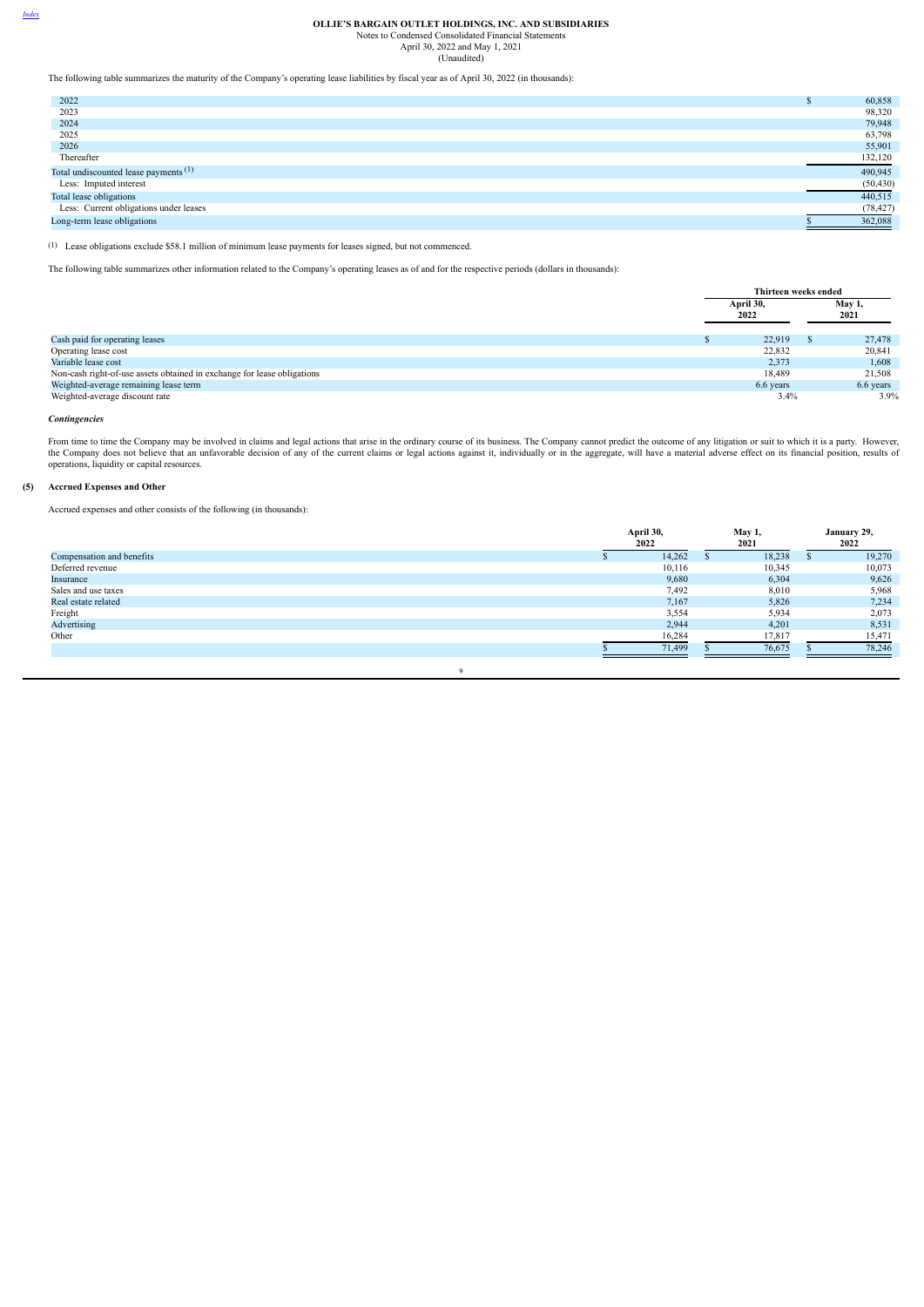## **OLLIE'S BARGAIN OUTLET HOLDINGS, INC. AND SUBSIDIARIES**

Notes to Condensed Consolidated Financial Statements April 30, 2022 and May 1, 2021

(Unaudited)

The following table summarizes the maturity of the Company's operating lease liabilities by fiscal year as of April 30, 2022 (in thousands):

| 2022                                             | 60,858    |
|--------------------------------------------------|-----------|
| 2023                                             | 98,320    |
| 2024                                             | 79,948    |
| 2025                                             | 63,798    |
| 2026                                             | 55,901    |
| Thereafter                                       | 132,120   |
| Total undiscounted lease payments <sup>(1)</sup> | 490,945   |
| Less: Imputed interest                           | (50, 430) |
| Total lease obligations                          | 440,515   |
| Less: Current obligations under leases           | (78, 427) |
| Long-term lease obligations                      | 362,088   |
|                                                  |           |

(1) Lease obligations exclude \$58.1 million of minimum lease payments for leases signed, but not commenced.

The following table summarizes other information related to the Company's operating leases as of and for the respective periods (dollars in thousands):

|                                                                         | Thirteen weeks ended |  |                |
|-------------------------------------------------------------------------|----------------------|--|----------------|
|                                                                         | April 30,<br>2022    |  | May 1,<br>2021 |
| Cash paid for operating leases                                          | 22.919               |  | 27,478         |
| Operating lease cost                                                    | 22,832               |  | 20,841         |
| Variable lease cost                                                     | 2,373                |  | 1,608          |
| Non-cash right-of-use assets obtained in exchange for lease obligations | 18,489               |  | 21,508         |
| Weighted-average remaining lease term                                   | 6.6 years            |  | 6.6 years      |
| Weighted-average discount rate                                          | 3.4%                 |  | 3.9%           |

#### *Contingencies*

From time to time the Company may be involved in claims and legal actions that arise in the ordinary course of its business. The Company cannot predict the outcome of any litigation or suit to which it is a party. However, operations, liquidity or capital resources.

## **(5) Accrued Expenses and Other**

Accrued expenses and other consists of the following (in thousands):

|                           | April 30,<br>2022 | May 1,<br>2021 | January 29,<br>2022 |
|---------------------------|-------------------|----------------|---------------------|
| Compensation and benefits | 14,262            | 18,238         | 19,270              |
| Deferred revenue          | 10,116            | 10,345         | 10,073              |
| Insurance                 | 9,680             | 6,304          | 9,626               |
| Sales and use taxes       | 7,492             | 8,010          | 5,968               |
| Real estate related       | 7,167             | 5,826          | 7,234               |
| Freight                   | 3,554             | 5,934          | 2,073               |
| Advertising               | 2,944             | 4,201          | 8,531               |
| Other                     | 16,284            | 17,817         | 15,471              |
|                           | 71.499            | 76,675         | 78,246              |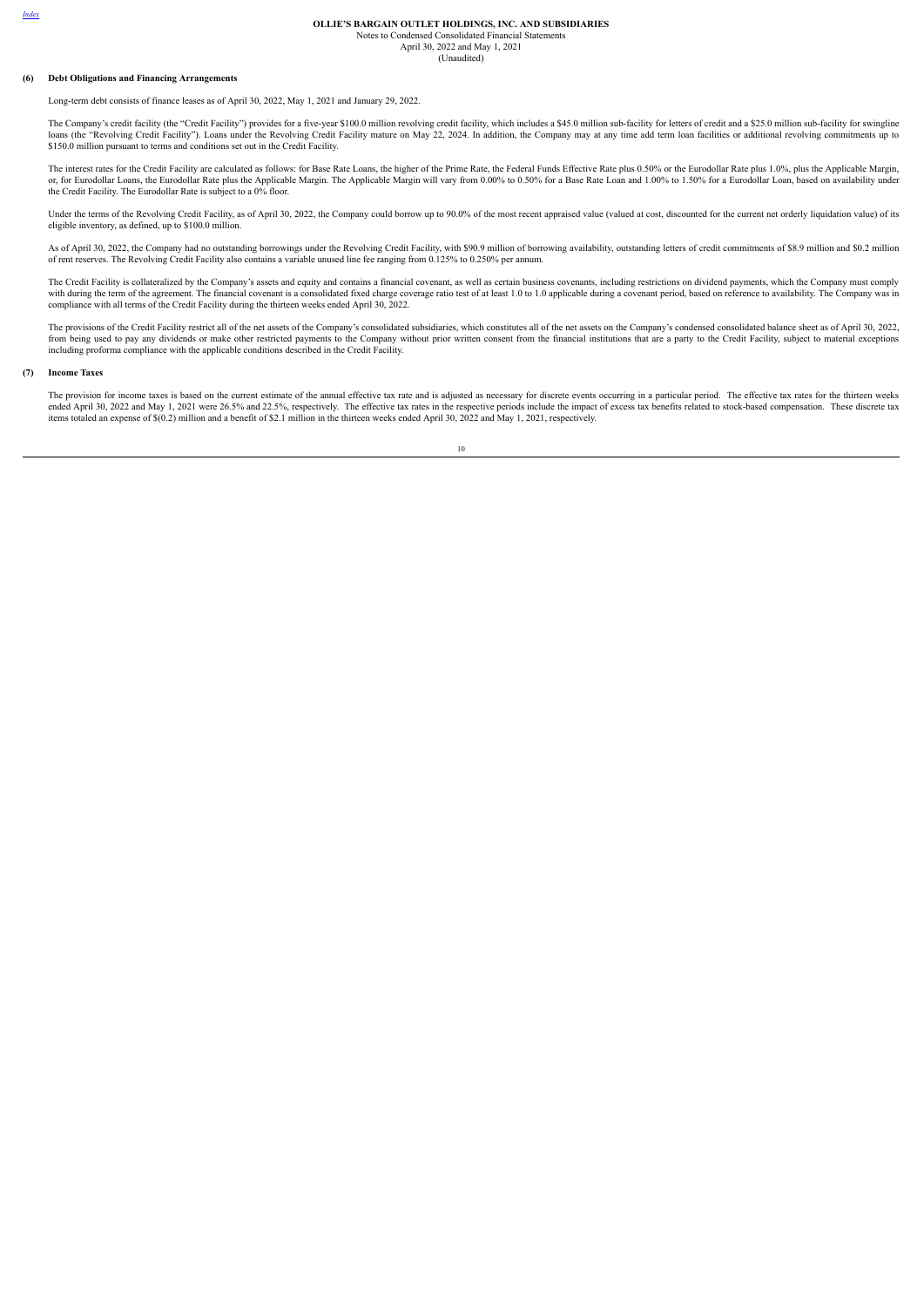Notes to Condensed Consolidated Financial Statements April 30, 2022 and May 1, 2021

(Unaudited)

#### **(6) Debt Obligations and Financing Arrangements**

Long-term debt consists of finance leases as of April 30, 2022, May 1, 2021 and January 29, 2022.

The Company's credit facility (the "Credit Facility") provides for a five-year \$100.0 million revolving credit facility, which includes a \$45.0 million sub-facility for letters of credit and a \$25.0 million sub-facility fo loans (the "Revolving Credit Facility"). Loans under the Revolving Credit Facility mature on May 22, 2024. In addition, the Company may at any time add term loan facilities or additional revolving commitments up to \$150.0 million pursuant to terms and conditions set out in the Credit Facility.

The interest rates for the Credit Facility are calculated as follows: for Base Rate Loans, the higher of the Prime Rate, the Federal Funds Effective Rate plus 0.50% or the Eurodollar Rate plus 1.0%, plus the Applicable Mar or, for Eurodollar Loans, the Eurodollar Rate plus the Applicable Margin. The Applicable Margin will vary from 0.00% to 0.50% for a Base Rate Loan and 1.00% to 1.50% for a Eurodollar Loan, based on availability under the Credit Facility. The Eurodollar Rate is subject to a 0% floor.

Under the terms of the Revolving Credit Facility, as of April 30, 2022, the Company could borrow up to 90.0% of the most recent appraised value (valued at cost, discounted for the current net orderly liquidation value) of eligible inventory, as defined, up to \$100.0 million.

As of April 30, 2022, the Company had no outstanding borrowings under the Revolving Credit Facility, with \$90.9 million of borrowing availability, outstanding letters of credit commitments of \$8.9 million and \$0.2 million of rent reserves. The Revolving Credit Facility also contains a variable unused line fee ranging from 0.125% to 0.250% per annum.

The Credit Facility is collateralized by the Company's assets and equity and contains a financial covenant, as well as certain business covenants, including restrictions on dividend payments, which the Company must comply with during the term of the agreement. The financial covenant is a consolidated fixed charge coverage ratio test of at least 1.0 to 1.0 applicable during a covenant period, based on reference to availability. The Company w compliance with all terms of the Credit Facility during the thirteen weeks ended April 30, 2022.

The provisions of the Credit Facility restrict all of the net assets of the Company's consolidated subsidiaries, which constitutes all of the net assets on the Company's condensed consolidated balance sheet as of April 30, from being used to pay any dividends or make other restricted payments to the Company without prior written consent from the financial institutions that are a party to the Credit Facility, subject to material exceptions including proforma compliance with the applicable conditions described in the Credit Facility.

#### **(7) Income Taxes**

The provision for income taxes is based on the current estimate of the annual effective tax rate and is adjusted as necessary for discrete events occurring in a particular period. The effective tax rates for the thirteen w items totaled an expense of \$(0.2) million and a benefit of \$2.1 million in the thirteen weeks ended April 30, 2022 and May 1, 2021, respectively.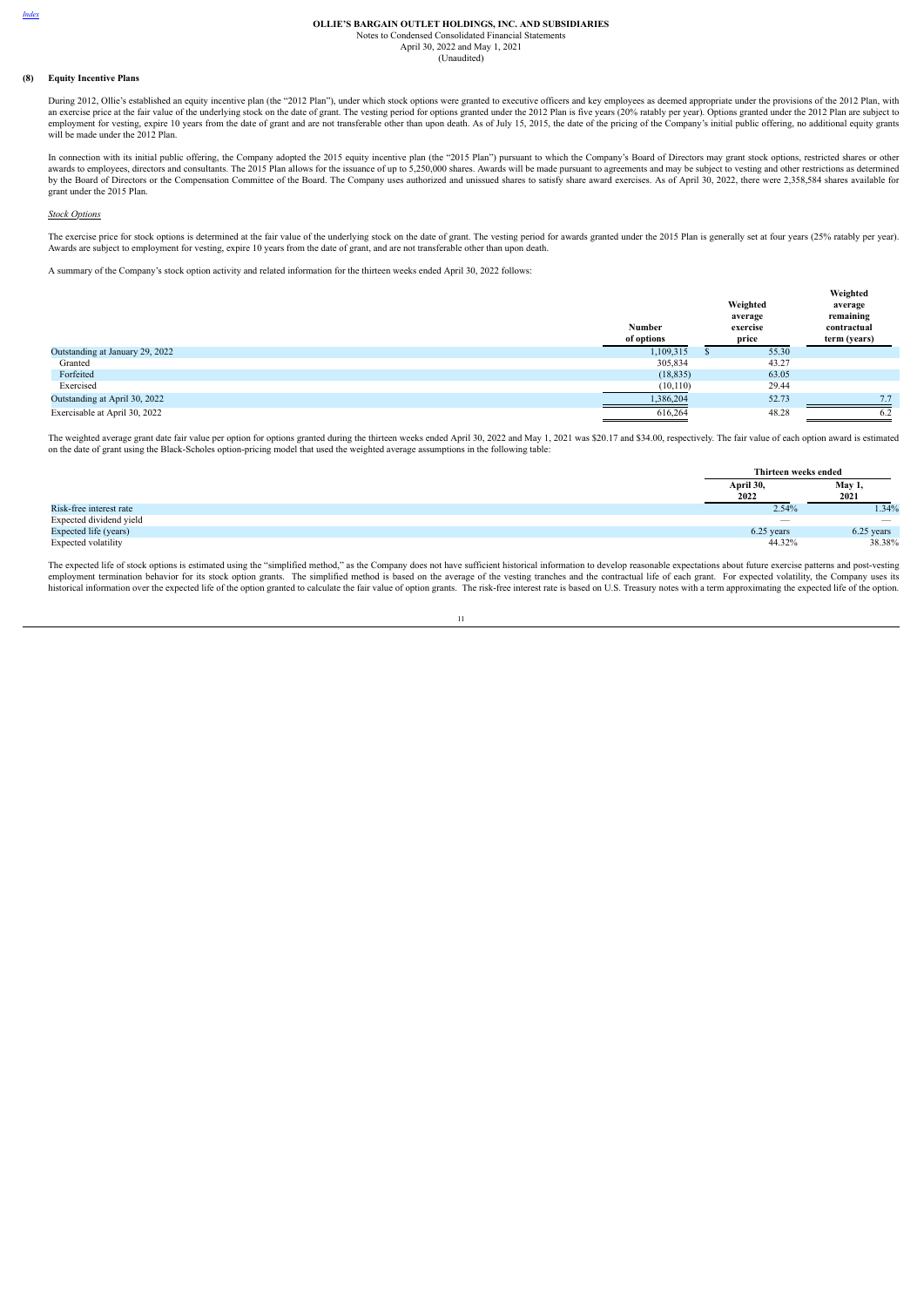Notes to Condensed Consolidated Financial Statements April 30, 2022 and May 1, 2021

(Unaudited)

# **(8) Equity Incentive Plans**

During 2012, Ollie's established an equity incentive plan (the "2012 Plan"), under which stock options were granted to executive officers and key employees as deemed appropriate under the provisions of the 2012 Plan, with an exercise price at the fair value of the underlying stock on the date of grant. The vesting period for options granted under the 2012 Plan is five years (20% ratably per year). Options granted under the 2012 Plan are sub will be made under the 2012 Plan.

In connection with its initial public offering, the Company adopted the 2015 equity incentive plan (the "2015 Plan") pursuant to which the Company's Board of Directors may grant stock options, restricted shares or other awards to employees, directors and consultants. The 2015 Plan allows for the issuance of up to 5,250,000 shares. Awards will be made pursuant to agreements and may be subject to vesting and other restrictions as determined by the Board of Directors or the Compensation Committee of the Board. The Company uses authorized and unissued shares to satisfy share award exercises. As of April 30, 2022, there were 2,358,584 shares available for grant under the 2015 Plan.

# *Stock Options*

The exercise price for stock options is determined at the fair value of the underlying stock on the date of grant. The vesting period for awards granted under the 2015 Plan is generally set at four years (25% ratably per y Awards are subject to employment for vesting, expire 10 years from the date of grant, and are not transferable other than upon death.

A summary of the Company's stock option activity and related information for the thirteen weeks ended April 30, 2022 follows:

|                                 | <b>Number</b><br>of options | Weighted<br>average<br>exercise<br>price | Weighted<br>average<br>remaining<br>contractual<br>term (years) |
|---------------------------------|-----------------------------|------------------------------------------|-----------------------------------------------------------------|
| Outstanding at January 29, 2022 | 1,109,315                   | 55.30                                    |                                                                 |
| Granted                         | 305,834                     | 43.27                                    |                                                                 |
| Forfeited                       | (18, 835)                   | 63.05                                    |                                                                 |
| Exercised                       | (10, 110)                   | 29.44                                    |                                                                 |
| Outstanding at April 30, 2022   | 1,386,204                   | 52.73                                    | 7.7                                                             |
| Exercisable at April 30, 2022   | 616,264                     | 48.28                                    | 6.2                                                             |

The weighted average grant date fair value per option for options granted during the thirteen weeks ended April 30, 2022 and May 1, 2021 was \$20.17 and \$34.00, respectively. The fair value of each option award is estimated on the date of grant using the Black-Scholes option-pricing model that used the weighted average assumptions in the following table:

|                         | Thirteen weeks ended     |                |
|-------------------------|--------------------------|----------------|
|                         | April 30,<br>2022        | May 1,<br>2021 |
| Risk-free interest rate | 2.54%                    | 1.34%          |
| Expected dividend yield | $\overline{\phantom{a}}$ | _              |
| Expected life (years)   | 6.25 years               | 6.25 years     |
| Expected volatility     | 44.32%                   | 38.38%         |

The expected life of stock options is estimated using the "simplified method," as the Company does not have sufficient historical information to develop reasonable expectations about future exercise patterns and post-vesti employment termination behavior for its stock option grants. The simplified method is based on the average of the vesting tranches and the contractual life of each grant. For expected volatility, the Company uses its expected information over the expected life of the option granted to calculate the fair value of option grants. The risk-free interest rate is based on U.S. Treasury notes with a term approximating the expected life of the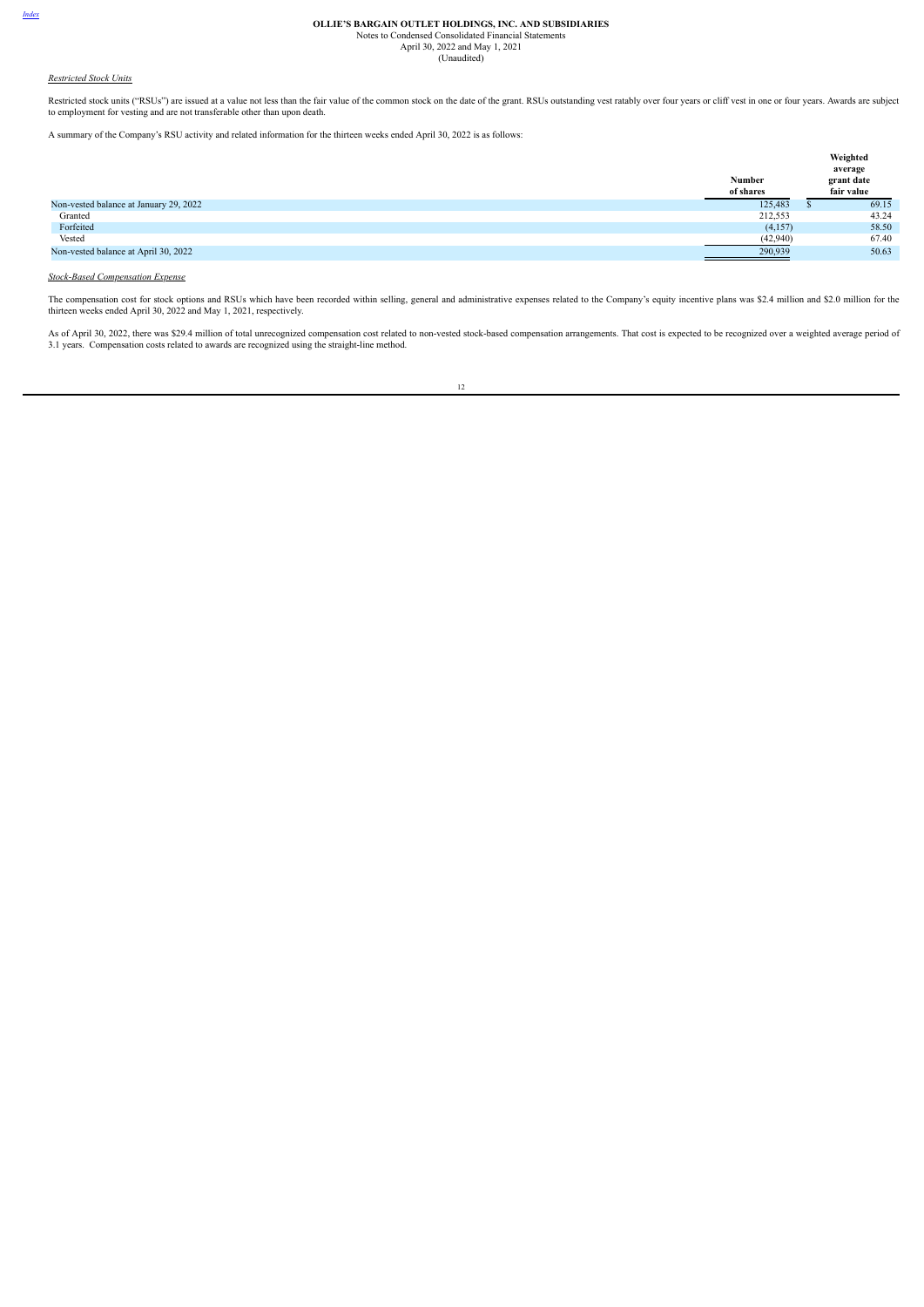Notes to Condensed Consolidated Financial Statements April 30, 2022 and May 1, 2021

(Unaudited)

# *Restricted Stock Units*

Restricted stock units ("RSUs") are issued at a value not less than the fair value of the common stock on the date of the grant. RSUs outstanding vest ratably over four years or cliff vest in one or four years. Awards are

A summary of the Company's RSU activity and related information for the thirteen weeks ended April 30, 2022 is as follows:

|                                        | <b>Number</b><br>of shares | Weighted<br>average<br>grant date<br>fair value |
|----------------------------------------|----------------------------|-------------------------------------------------|
| Non-vested balance at January 29, 2022 | 125,483                    | 69.15                                           |
| Granted                                | 212,553                    | 43.24                                           |
| Forfeited                              | (4,157)                    | 58.50                                           |
| Vested                                 | (42, 940)                  | 67.40                                           |
| Non-vested balance at April 30, 2022   | 290,939                    | 50.63                                           |

# *Stock-Based Compensation Expense*

The compensation cost for stock options and RSUs which have been recorded within selling, general and administrative expenses related to the Company's equity incentive plans was \$2.4 million and \$2.0 million for the<br>thirte

As of April 30, 2022, there was \$29.4 million of total unrecognized compensation cost related to non-vested stock-based compensation arrangements. That cost is expected to be recognized over a weighted average period of<br>3.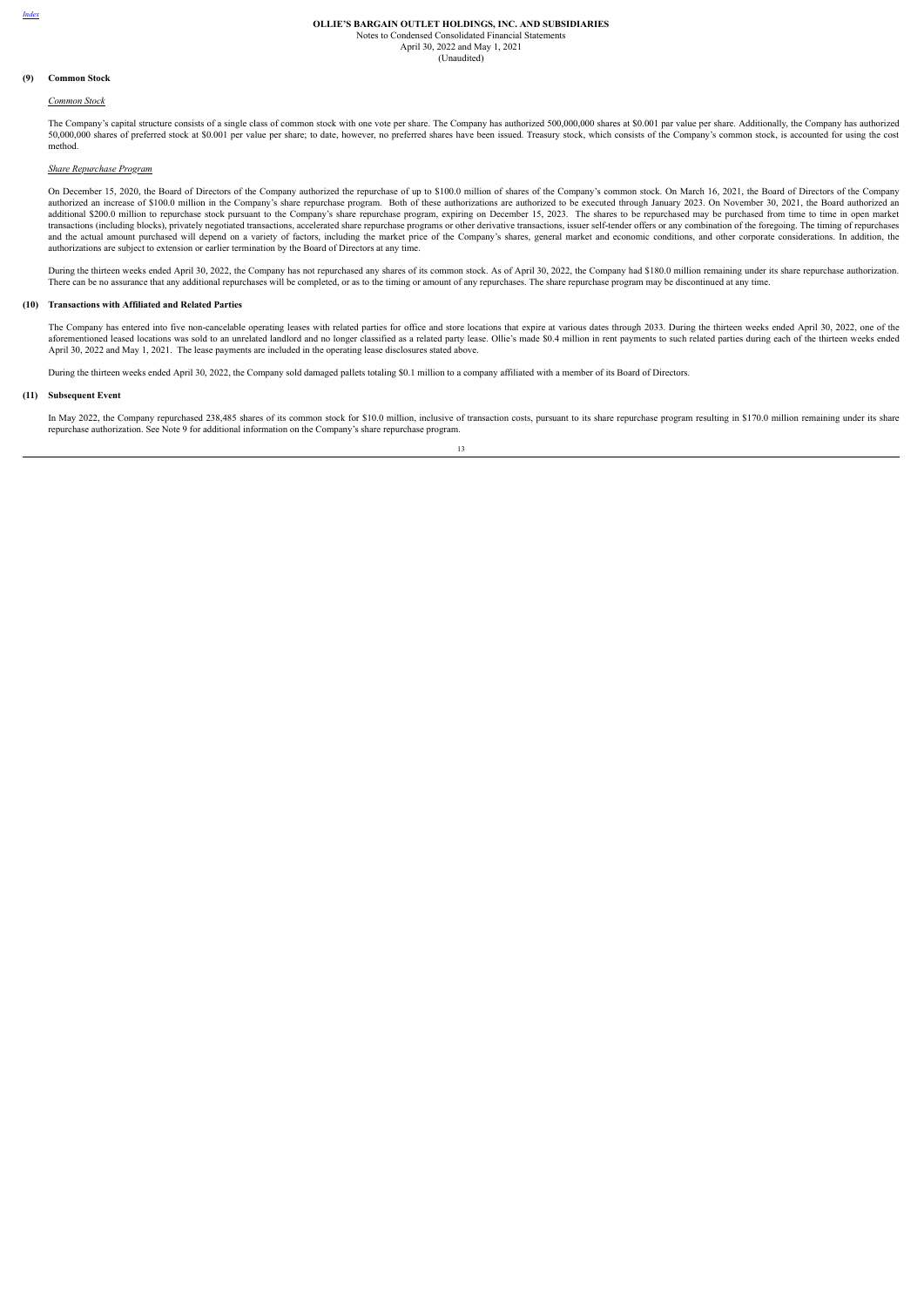Notes to Condensed Consolidated Financial Statements April 30, 2022 and May 1, 2021

(Unaudited)

# **(9) Common Stock**

## *Common Stock*

The Company's capital structure consists of a single class of common stock with one vote per share. The Company has authorized 500,000,000 shares at \$0.001 par value per share. Additionally, the Company has authorized 50,000,000 shares of preferred stock at \$0.001 per value per share; to date, however, no preferred shares have been issued. Treasury stock, which consists of the Company's common stock, is accounted for using the cost method.

#### *Share Repurchase Program*

On December 15, 2020, the Board of Directors of the Company authorized the repurchase of up to \$100.0 million of shares of the Company's common stock. On March 16, 2021, the Board of Directors of the Company authorized an increase of \$100.0 million in the Company's share repurchase program. Both of these authorizations are authorized to be executed through January 2023. On November 30, 2021, the Board authorized an<br>additional transactions (including blocks), privately negotiated transactions, accelerated share repurchase programs or other derivative transactions, issuer self-tender offers or any combination of the foregoing. The timing of repur authorizations are subject to extension or earlier termination by the Board of Directors at any time.

During the thirteen weeks ended April 30, 2022, the Company has not repurchased any shares of its common stock. As of April 30, 2022, the Company had \$180.0 million remaining under its share repurchase authorization. There can be no assurance that any additional repurchases will be completed, or as to the timing or amount of any repurchases. The share repurchase program may be discontinued at any time.

### **(10) Transactions with Affiliated and Related Parties**

The Company has entered into five non-cancelable operating leases with related parties for office and store locations that expire at various dates through 2033. During the thirteen weeks ended April 30, 2022, one of the aforementioned leased locations was sold to an unrelated landlord and no longer classified as a related party lease. Ollie's made \$0.4 million in rent payments to such related parties during each of the thirteen weeks ende April 30, 2022 and May 1, 2021. The lease payments are included in the operating lease disclosures stated above.

During the thirteen weeks ended April 30, 2022, the Company sold damaged pallets totaling \$0.1 million to a company affiliated with a member of its Board of Directors.

#### **(11) Subsequent Event**

In May 2022, the Company repurchased 238,485 shares of its common stock for \$10.0 million, inclusive of transaction costs, pursuant to its share repurchase program resulting in \$170.0 million remaining under its share repurchase authorization. See Note 9 for additional information on the Company's share repurchase program.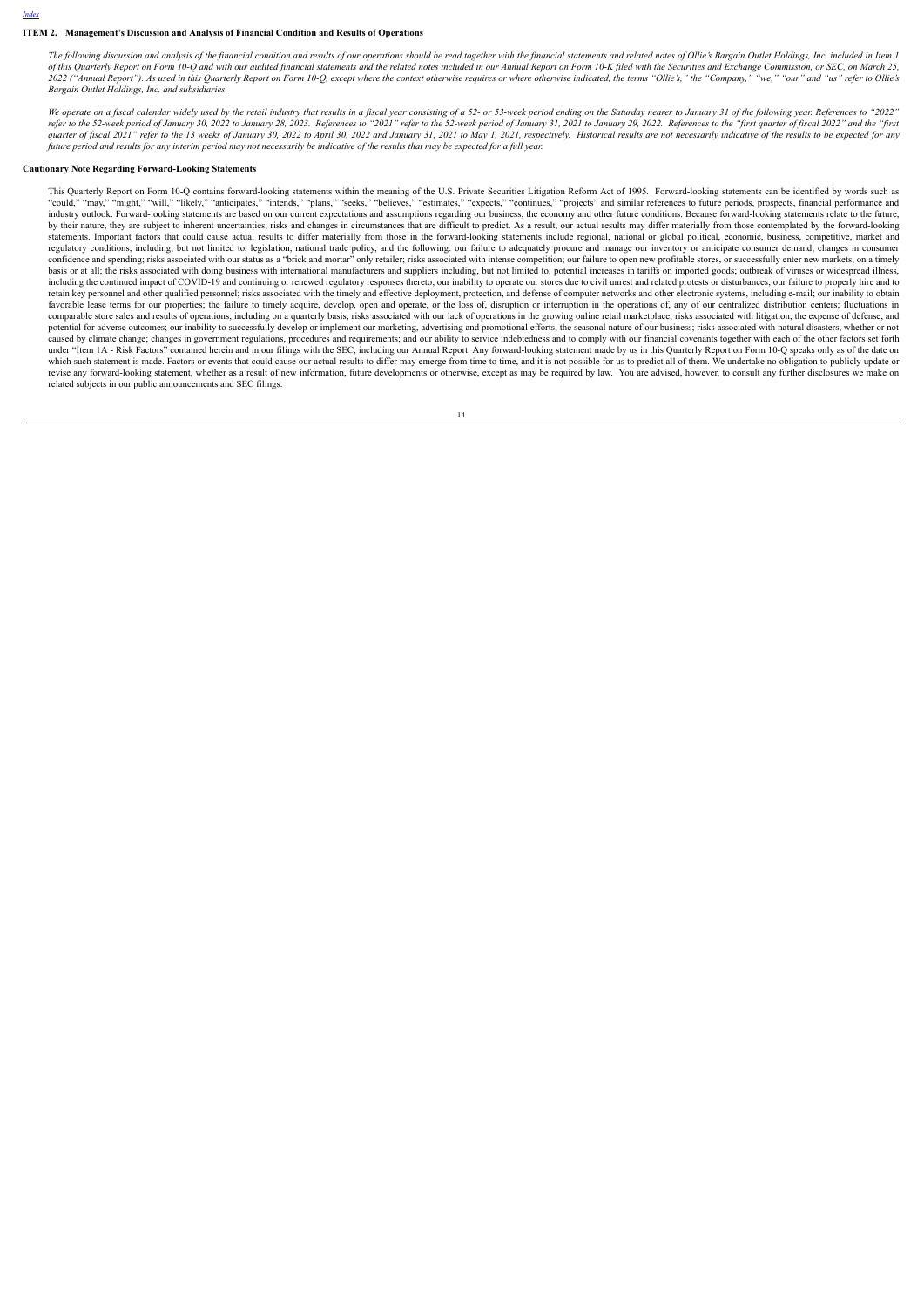#### <span id="page-15-0"></span>**ITEM 2. Management's Discussion and Analysis of Financial Condition and Results of Operations**

The following discussion and analysis of the financial condition and results of our operations should be read together with the financial statements and related notes of Ollie's Bargain Outlet Holdings, Inc. included in It *Bargain Outlet Holdings, Inc. and subsidiaries.*

"We operate on a fiscal calendar widely used by the retail industry that results in a fiscal year consisting of a 52- or 53-week period ending on the Saturday nearer to January 31 of the following year. References to "2022 refer to the 52-week period of January 30, 2022 to January 28, 2023. References to "2021" refer to the 52-week period of January 31, 2021 to January 29, 2022. References to the "first quarter of fiscal 2022" and the "first explanter of fiscal 2021" refer to the 13 weeks of January 30, 2022 to April 30, 2022 and January 31, 2021 to May 1, 2021 to May 1, 2021, respectively. Historical results are not necessarily indicative of the results to be future period and results for any interim period may not necessarily be indicative of the results that may be expected for a full year.

### **Cautionary Note Regarding Forward-Looking Statements**

This Quarterly Report on Form 10-Q contains forward-looking statements within the meaning of the U.S. Private Securities Litigation Reform Act of 1995. Forward-looking statements can be identified by words such as the cond by their nature, they are subject to inherent uncertainties, risks and changes in circumstances that are difficult to predict. As a result, our actual results may differ materially from those contemplated by the forward-lo regulatory conditions, including, but not limited to, legislation, national trade policy, and the following: our failure to adequately procure and manage our inventory or anticipate consumer demand; changes in consumer dem confidence and spending; risks associated with our status as a "brick and mortar" only retailer; risks associated with intense competition; our failure to open new profitable stores, or successfully enter new markets, on a basis or at all; the risks associated with doing business with international manufacturers and suppliers including, but not limited to, potential increases in tariffs on imported goods; outbreak of viruses or widespread il including the continued impact of COVID-19 and continuing or renewed regulatory responses thereto; our inability to operate our stores due to civil unrest and related protests or disturbances; our failure to properly hire retain key personnel and other qualified personnel; risks associated with the timely and effective deployment, protection, and defense of computer networks and other electronic systems, including e-mail; our inability to o favorable lease terms for our properties; the failure to timely acquire, develop, open and operate, or the loss of, disruption or interruption in the operations of, any of our centralized distribution centers; fluctuations comparable store sales and results of operations, including on a quarterly basis; risks associated with our lack of operations in the growing online retail marketplace; risks associated with litigation, the expense of defe caused by climate change; changes in government regulations, procedures and requirements; and our ability to service indebtedness and to comply with our financial covenants together with each of the other factors set forth under "Item 1A - Risk Factors" contained herein and in our filings with the SEC, including our Annual Report. Any forward-looking statement made by us in this Quarterly Report on Form 10-Q speaks only as of the date on which such statement is made. Factors or events that could cause our actual results to differ may emerge from time to time, and it is not possible for us to predict all of them. We undertake no obligation to publicly updat revise any forward-looking statement, whether as a result of new information, future developments or otherwise, except as may be required by law. You are advised, however, to consult any further disclosures we make on related subjects in our public announcements and SEC filings.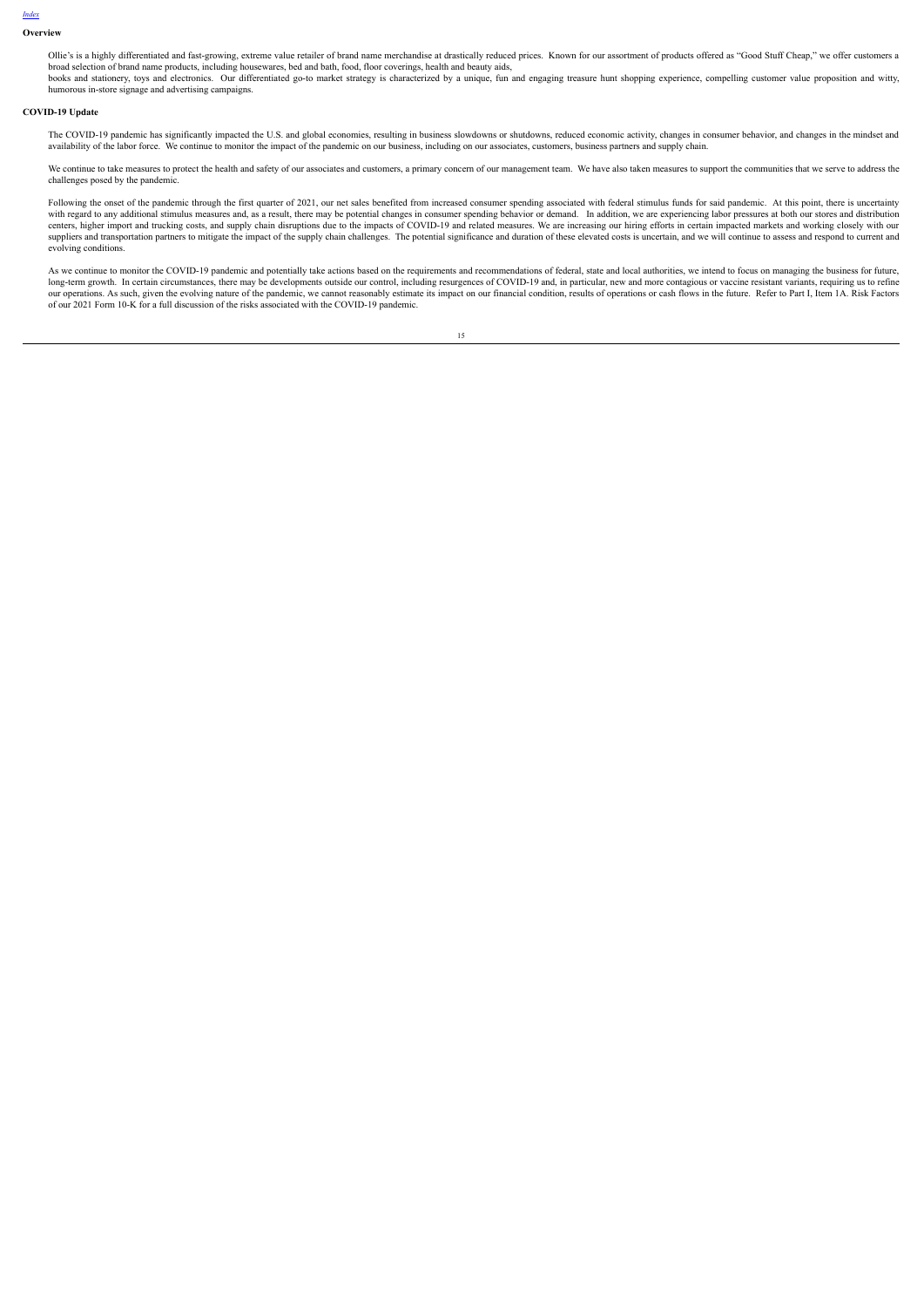Ollie's is a highly differentiated and fast-growing, extreme value retailer of brand name merchandise at drastically reduced prices. Known for our assortment of products offered as "Good Stuff Cheap," we offer customers a<br> books and stationery, toys and electronics. Our differentiated go-to market strategy is characterized by a unique, fun and engaging treasure hunt shopping experience, compelling customer value proposition and witty, tooks humorous in-store signage and advertising campaigns.

#### **COVID-19 Update**

The COVID-19 pandemic has significantly impacted the U.S. and global economies, resulting in business slowdowns or shutdowns, reduced economic activity, changes in consumer behavior, and changes in the mindset and availability of the labor force. We continue to monitor the impact of the pandemic on our business, including on our associates, customers, business partners and supply chain.

We continue to take measures to protect the health and safety of our associates and customers, a primary concern of our management team. We have also taken measures to support the communities that we serve to address the challenges posed by the pandemic.

Following the onset of the pandemic through the first quarter of 2021, our net sales benefited from increased consumer spending associated with federal stimulus funds for said pandemic. At this point, there is uncertainty with regard to any additional stimulus measures and, as a result, there may be potential changes in consumer spending behavior or demand. In addition, we are experiencing labor pressures at both our stores and distribution centers, higher import and trucking costs, and supply chain disruptions due to the impacts of COVID-19 and related measures. We are increasing our hiring efforts in certain impacted markets and working closely with our<br>sup evolving conditions.

As we continue to monitor the COVID-19 pandemic and potentially take actions based on the requirements and recommendations of federal, state and local authorities, we intend to focus on managing the business for future. long-term growth. In certain circumstances, there may be developments outside our control, including resurgences of COVID-19 and, in particular, new and more contagious or vaccine resistant variants, requiring us to refine our operations. As such, given the evolving nature of the pandemic, we cannot reasonably estimate its impact on our financial condition, results of operations or cash flows in the future. Refer to Part I, Item 1A. Risk Fac of our 2021 Form 10-K for a full discussion of the risks associated with the COVID-19 pandemic.

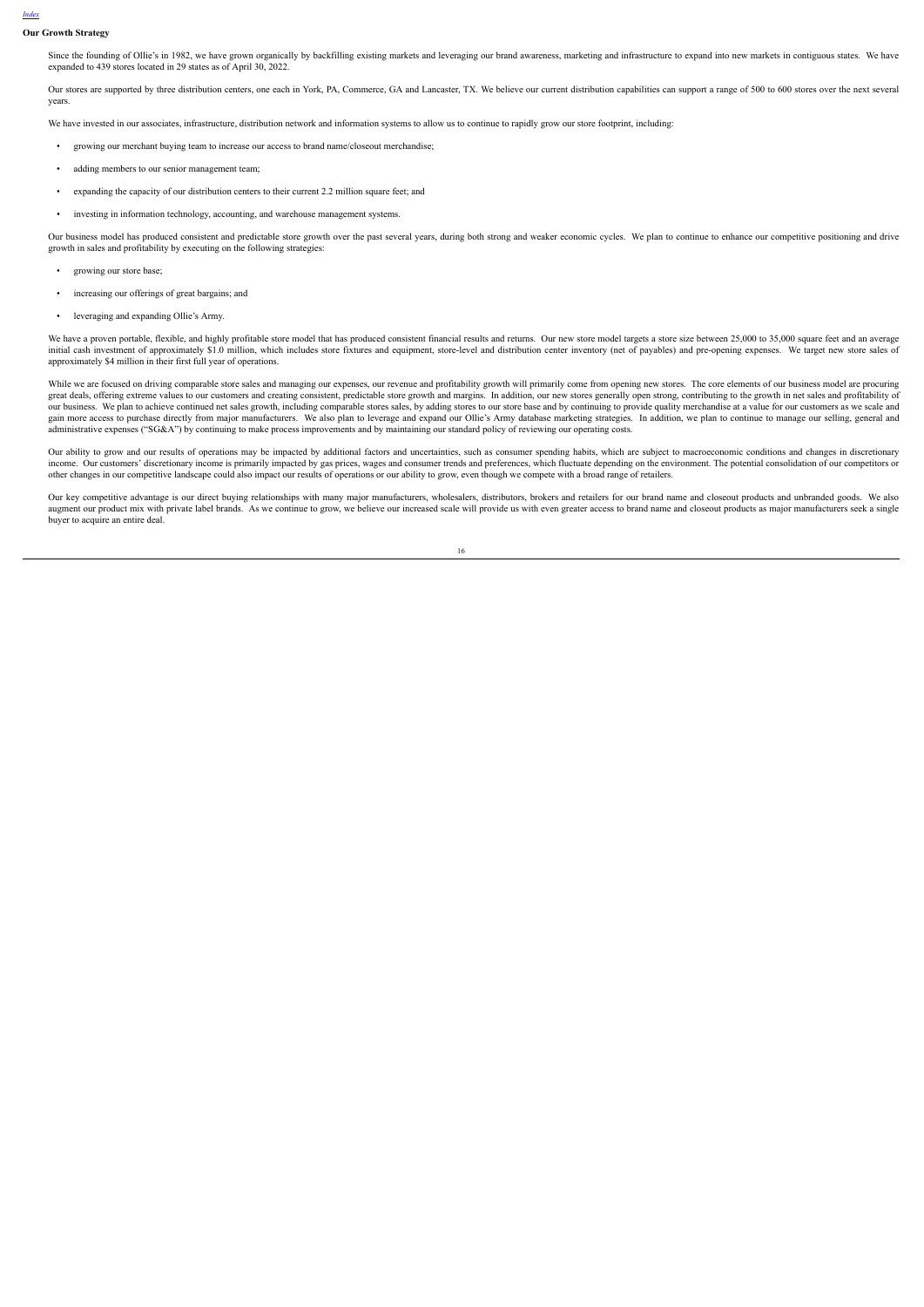#### **Our Growth Strategy**

Since the founding of Ollie's in 1982, we have grown organically by backfilling existing markets and leveraging our brand awareness, marketing and infrastructure to expand into new markets in contiguous states. We have exp

Our stores are supported by three distribution centers, one each in York, PA, Commerce, GA and Lancaster, TX. We believe our current distribution capabilities can support a range of 500 to 600 stores over the next several years.

We have invested in our associates, infrastructure, distribution network and information systems to allow us to continue to rapidly grow our store footprint, including:

- growing our merchant buying team to increase our access to brand name/closeout merchandise;
- adding members to our senior management team;
- expanding the capacity of our distribution centers to their current 2.2 million square feet; and
- investing in information technology, accounting, and warehouse management systems.

Our business model has produced consistent and predictable store growth over the past several years, during both strong and weaker economic cycles. We plan to continue to enhance our competitive positioning and drive growth in sales and profitability by executing on the following strategies:

- growing our store base;
- increasing our offerings of great bargains; and
- leveraging and expanding Ollie's Army.

We have a proven portable, flexible, and highly profitable store model that has produced consistent financial results and returns. Our new store model targets a store size between 25,000 to 35,000 square feet and an averag initial cash investment of approximately \$1.0 million, which includes store fixtures and equipment, store-level and distribution center inventory (net of payables) and pre-opening expenses. We target new store sales of app

While we are focused on driving comparable store sales and managing our expenses, our revenue and profitability growth will primarily come from opening new stores. The core elements of our business model are procuring great deals, offering extreme values to our customers and creating consistent, predictable store growth and margins. In addition, our new stores generally open strong, contributing to the growth in net sales and profitabil expansive versus to purchase directly from major manufacturers. We also plan to leverage and expand our Ollie's Army database marketing strategies. In addition, we plan to continue to manage our selling, general and genera administrative expenses ("SG&A") by continuing to make process improvements and by maintaining our standard policy of reviewing our operating costs.

Our ability to grow and our results of operations may be impacted by additional factors and uncertainties, such as consumer spending habits, which are subject to macroeconomic conditions and changes in discretionary income. Our customers' discretionary income is primarily impacted by gas prices, wages and consumer trends and preferences, which fluctuate depending on the environment. The potential consolidation of our competitors or<br>ot

Our key competitive advantage is our direct buying relationships with many major manufacturers, wholesalers, distributors, brokers and retailers for our brand name and closeout products and unbranded goods. We also augment our product mix with private label brands. As we continue to grow, we believe our increased scale will provide us with even greater access to brand name and closeout products as major manufacturers seek a single buyer to acquire an entire deal.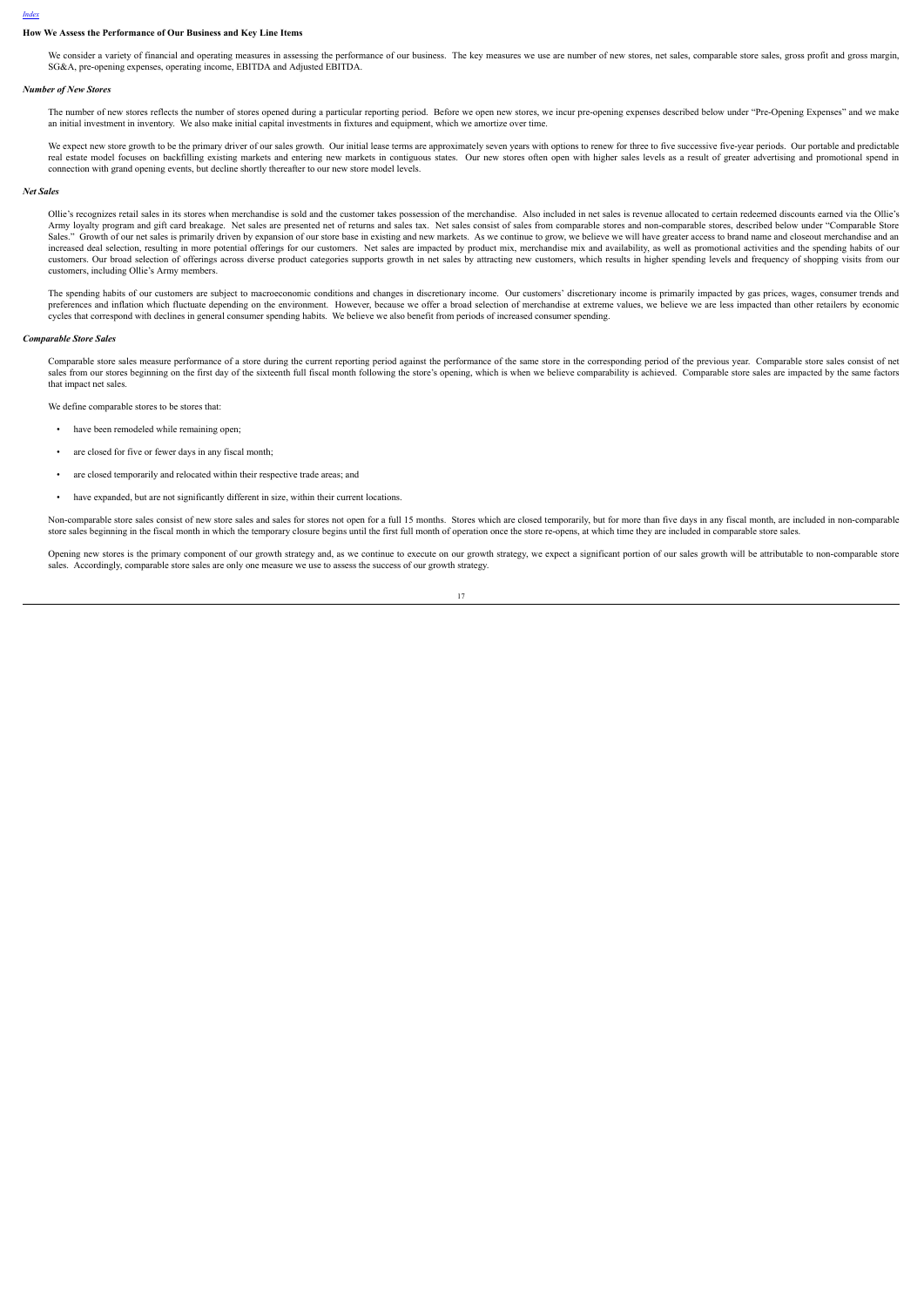#### **How We Assess the Performance of Our Business and Key Line Items**

We consider a variety of financial and operating measures in assessing the performance of our business. The key measures we use are number of new stores, net sales, comparable store sales, gross profit and gross margin,<br>SG

#### *Number of New Stores*

The number of new stores reflects the number of stores opened during a particular reporting period. Before we open new stores, we incur pre-opening expenses described below under "Pre-Opening Expenses" and we make an initial investment in inventory. We also make initial capital investments in fixtures and equipment, which we amortize over time.

We expect new store growth to be the primary driver of our sales growth. Our initial lease terms are approximately seven years with options to renew for three to five successive five-year periods. Our portable and predicta connection with grand opening events, but decline shortly thereafter to our new store model levels.

#### *Net Sales*

Ollie's recognizes retail sales in its stores when merchandise is sold and the customer takes possession of the merchandise. Also included in net sales is revenue allocated to certain redeemed discounts earned via the Olli Army loyalty program and gift card breakage. Net sales are presented net of returns and sales tax. Net sales consist of sales from comparable stores and non-comparable stores, described below under "Comparable Store Sales." Growth of our net sales is primarily driven by expansion of our store base in existing and new markets. As we continue to grow, we believe we will have greater access to brand name and closeout merchandise and an increased deal selection, resulting in more potential offerings for our customers. Net sales are impacted by product mix, merchandise mix and availability, as well as promotional activities and the spending habits of our c customers. Our broad selection of offerings across diverse product categories supports growth in net sales by attracting new customers, which results in higher spending levels and frequency of shopping visits from our customers, including Ollie's Army members.

The spending habits of our customers are subject to macroeconomic conditions and changes in discretionary income. Our customers' discretionary income is primarily impacted by gas prices, wages, consumer trends and preferences and inflation which fluctuate depending on the environment. However, because we offer a broad selection of merchandise at extreme values, we believe we are less impacted than other retailers by economic cycles that correspond with declines in general consumer spending habits. We believe we also benefit from periods of increased consumer spending.

#### *Comparable Store Sales*

Comparable store sales measure performance of a store during the current reporting period against the performance of the same store in the corresponding period of the previous year. Comparable store sales consist of net<br>sa that impact net sales.

We define comparable stores to be stores that:

- have been remodeled while remaining open;
- are closed for five or fewer days in any fiscal month;
- are closed temporarily and relocated within their respective trade areas; and
- have expanded, but are not significantly different in size, within their current locations.

Non-comparable store sales consist of new store sales and sales for stores not open for a full 15 months. Stores which are closed temporarily, but for more than five days in any fiscal month, are included in non-comparable store sales beginning in the fiscal month in which the temporary closure begins until the first full month of operation once the store re-opens, at which time they are included in comparable store sales.

Opening new stores is the primary component of our growth strategy and, as we continue to execute on our growth strategy, we expect a significant portion of our sales growth will be attributable to non-comparable store sales. Accordingly, comparable store sales are only one measure we use to assess the success of our growth strategy.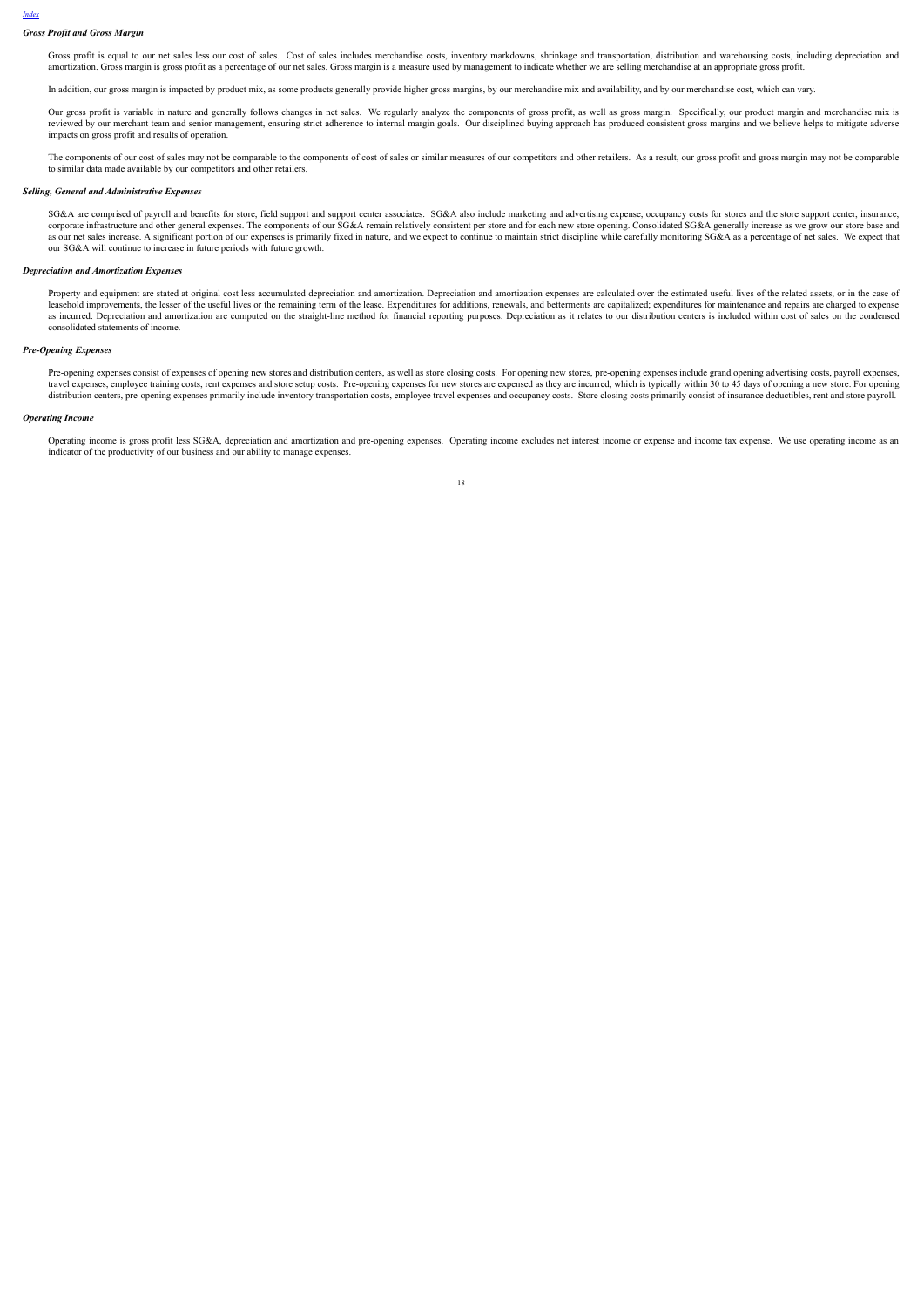#### *Gross Profit and Gross Margin*

Gross profit is equal to our net sales less our cost of sales. Cost of sales includes merchandise costs, inventory markdowns, shrinkage and transportation, distribution and warehousing costs, including depreciation and amortization. Gross margin is gross profit as a percentage of our net sales. Gross margin is a measure used by management to indicate whether we are selling merchandise at an appropriate gross profit.

In addition, our gross margin is impacted by product mix, as some products generally provide higher gross margins, by our merchandise mix and availability, and by our merchandise cost, which can vary.

Our gross profit is variable in nature and generally follows changes in net sales. We regularly analyze the components of gross profit, as well as gross margin. Specifically, our product margin and merchandise mix is reviewed by our merchant team and senior management, ensuring strict adherence to internal margin goals. Our disciplined buying approach has produced consistent gross margins and we believe helps to mitigate adverse impacts on gross profit and results of operation.

The components of our cost of sales may not be comparable to the components of cost of sales or similar measures of our competitors and other retailers. As a result, our gross profit and gross margin may not be comparable to similar data made available by our competitors and other retailers.

#### *Selling, General and Administrative Expenses*

SG&A are comprised of payroll and benefits for store, field support and support center associates. SG&A also include marketing and advertising expense, occupancy costs for stores and the store support center, insurance, corporate infrastructure and other general expenses. The components of our SG&A remain relatively consistent per store and for each new store opening. Consolidated SG&A generally increase as we grow our store base and<br>as o our SG&A will continue to increase in future periods with future growth.

#### *Depreciation and Amortization Expenses*

Property and equipment are stated at original cost less accumulated depreciation and amortization. Depreciation and amortization expenses are calculated over the estimated useful lives of the related assets, or in the case The analysis of the useful lives or the remaining term of the lease. Expenditures for additions, renewals, and betterments are capitalized; expenditures for maintenance and repairs are charged to expendent of the lease. Ex as incurred. Depreciation and amortization are computed on the straight-line method for financial reporting purposes. Depreciation as it relates to our distribution centers is included within cost of sales on the condensed consolidated statements of income.

#### *Pre-Opening Expenses*

Pre-opening expenses consist of expenses of opening new stores and distribution centers, as well as store closing costs. For opening new stores, pre-opening expenses include grand opening advertising costs, payroll expenses, Tra-optimis expenses consist of expenses and store setup costs. Pre-opening expenses for new stores are expensed as they are incurred, which is typically within 30 to 45 days of opening a arew store. For opening the transf distribution centers, pre-opening expenses primarily include inventory transportation costs, employee travel expenses and occupancy costs. Store closing costs primarily consist of insurance deductibles, rent and store payr

#### *Operating Income*

Operating income is gross profit less SG&A, depreciation and amortization and pre-opening expenses. Operating income excludes net interest income or expense and income tax expense. We use operating income as an indicator of the productivity of our business and our ability to manage expenses.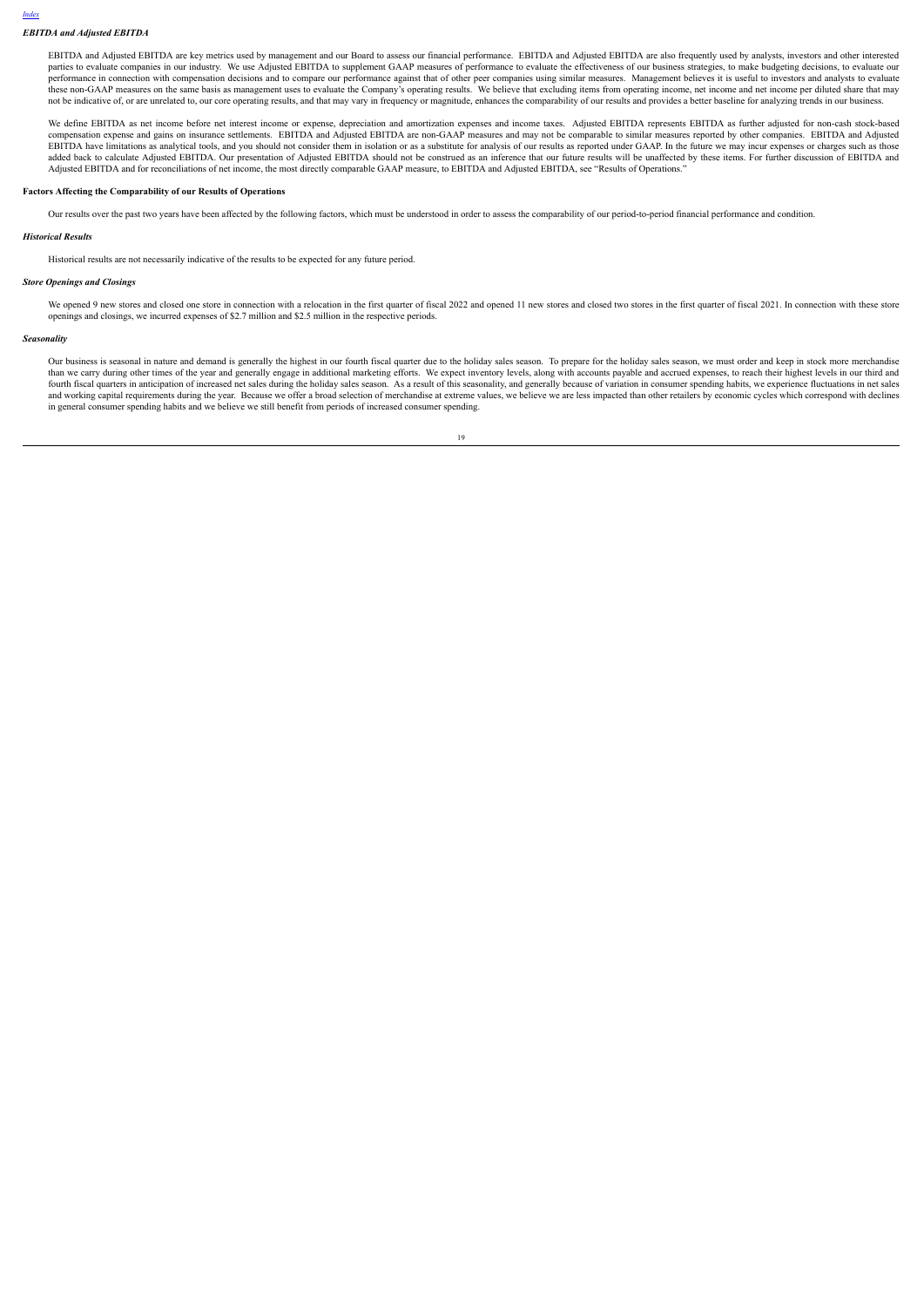# *EBITDA and Adjusted EBITDA*

*[Index](#page-1-0)*

EBITDA and Adjusted EBITDA are key metrics used by management and our Board to assess our financial performance. EBITDA and Adjusted EBITDA are also frequently used by analysts, investors and other interested<br>parties to ev performance in connection with compensation decisions and to compare our performance against that of other peer companies using similar measures. Management believes it is useful to investors and analysts to evaluate perfo these non-GAAP measures on the same basis as management uses to evaluate the Company's operating results. We believe that excluding items from operating income, net income and net income per diluted share that may not be indicative of, or are unrelated to, our core operating results, and that may vary in frequency or magnitude, enhances the comparability of our results and provides a better baseline for analyzing trends in our busin

We define EBITDA as net income before net interest income or expense, depreciation and amortization expenses and income taxes. Adjusted EBITDA represents EBITDA as further adjusted for non-cash stock-based compensation expense and gains on insurance settlements. EBITDA and Adjusted EBITDA are non-GAAP measures and may not be comparable to similar measures reported by other companies. EBITDA and Adjusted EBITDA have limitations as analytical tools, and you should not consider them in isolation or as a substitute for analysis of our results as reported under GAAP. In the future we may incur expenses or charges such as those Adjusted EBITDA and for reconciliations of net income, the most directly comparable GAAP measure, to EBITDA and Adjusted EBITDA, see "Results of Operations."

#### **Factors Affecting the Comparability of our Results of Operations**

Our results over the past two years have been affected by the following factors, which must be understood in order to assess the comparability of our period-to-period financial performance and condition.

#### *Historical Results*

Historical results are not necessarily indicative of the results to be expected for any future period.

## *Store Openings and Closings*

We opened 9 new stores and closed one store in connection with a relocation in the first quarter of fiscal 2022 and opened 11 new stores and closed two stores in the first quarter of fiscal 2021. In connection with these s openings and closings, we incurred expenses of \$2.7 million and \$2.5 million in the respective periods.

#### *Seasonality*

Our business is seasonal in nature and demand is generally the highest in our fourth fiscal quarter due to the holiday sales season. To prepare for the holiday sales season, we must order and keep in stock more merchandise than we carry during other times of the year and generally engage in additional marketing efforts. We expect inventory levels, along with accounts payable and accrued expenses, to reach their highest levels in our third an and working capital requirements during the year. Because we offer a broad selection of merchandise at extreme values, we believe we are less impacted than other retailers by economic cycles which correspond with declines in general consumer spending habits and we believe we still benefit from periods of increased consumer spending.

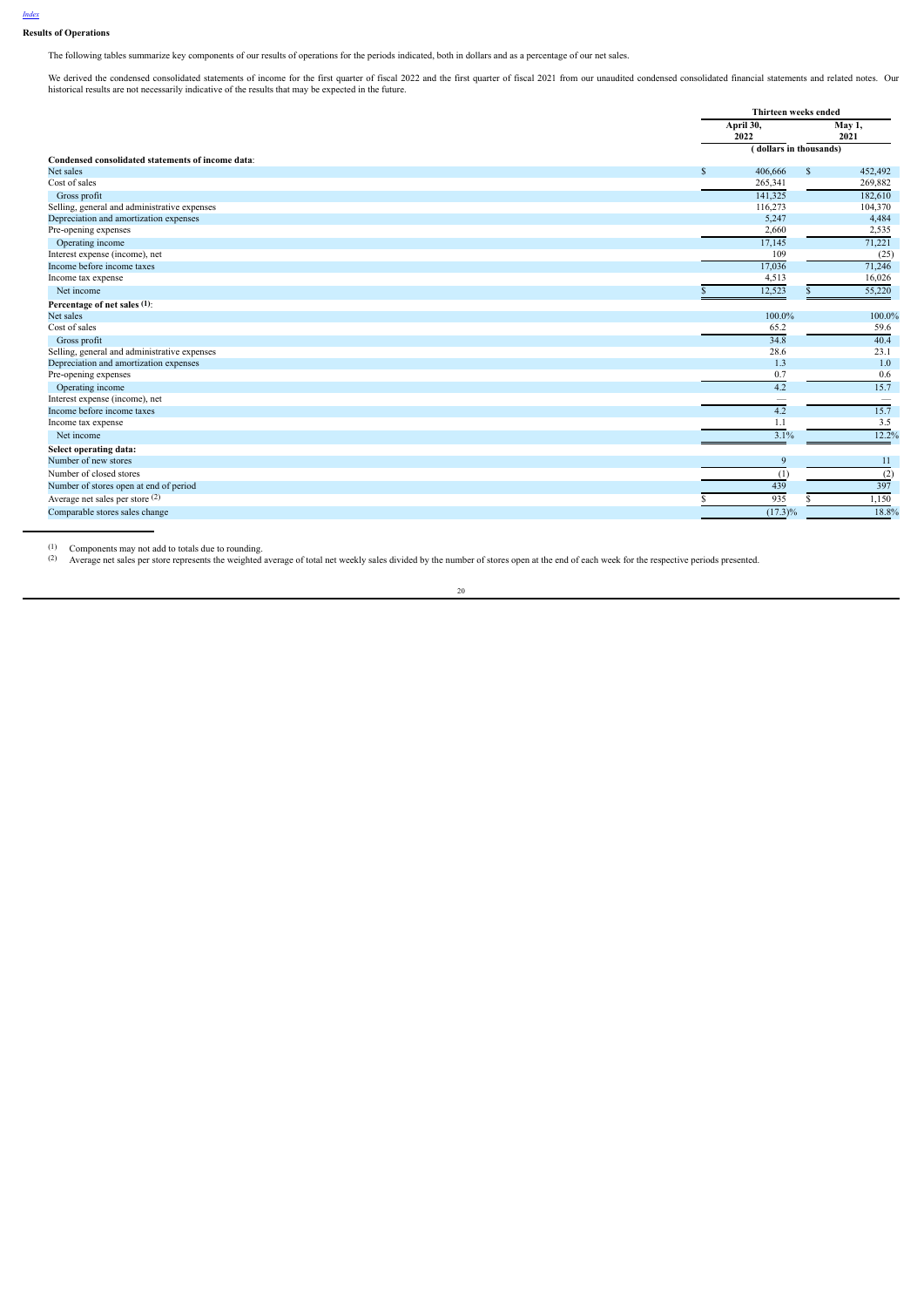# **Results of Operations**

The following tables summarize key components of our results of operations for the periods indicated, both in dollars and as a percentage of our net sales.

We derived the condensed consolidated statements of income for the first quarter of fiscal 2022 and the first quarter of fiscal 2021 from our unaudited condensed consolidated financial statements and related notes. Our his

|                                                   |                   | Thirteen weeks ended    |
|---------------------------------------------------|-------------------|-------------------------|
|                                                   | April 30,<br>2022 | May 1,<br>2021          |
|                                                   |                   | (dollars in thousands)  |
| Condensed consolidated statements of income data: |                   |                         |
| Net sales                                         | \$<br>406,666     | $\mathbb{S}$<br>452,492 |
| Cost of sales                                     | 265,341           | 269,882                 |
| Gross profit                                      | 141,325           | 182,610                 |
| Selling, general and administrative expenses      | 116,273           | 104,370                 |
| Depreciation and amortization expenses            | 5,247             | 4,484                   |
| Pre-opening expenses                              | 2,660             | 2,535                   |
| Operating income                                  | 17,145            | 71,221                  |
| Interest expense (income), net                    | 109               | (25)                    |
| Income before income taxes                        | 17,036            | 71,246                  |
| Income tax expense                                | 4,513             | 16,026                  |
| Net income                                        | 12,523            | 55,220                  |
| Percentage of net sales (1):                      |                   |                         |
| Net sales                                         | 100.0%            | 100.0%                  |
| Cost of sales                                     | 65.2              | 59.6                    |
| Gross profit                                      | 34.8              | 40.4                    |
| Selling, general and administrative expenses      | 28.6              | 23.1                    |
| Depreciation and amortization expenses            | 1.3               | 1.0                     |
| Pre-opening expenses                              | 0.7               | 0.6                     |
| Operating income                                  | 4.2               | 15.7                    |
| Interest expense (income), net                    |                   |                         |
| Income before income taxes                        | 4.2               | 15.7                    |
| Income tax expense                                | 1.1               | 3.5                     |
| Net income                                        | 3.1%              | 12.2%                   |
| Select operating data:                            |                   |                         |
| Number of new stores                              | 9                 | 11                      |
| Number of closed stores                           | (1)               | (2)                     |
| Number of stores open at end of period            | 439               | 397                     |
| Average net sales per store (2)                   | 935               | 1,150                   |
| Comparable stores sales change                    | $(17.3)\%$        | 18.8%                   |
|                                                   |                   |                         |

(1) Components may not add to totals due to rounding.<br>(2) Average net sales per store represents the weighted average of total net weekly sales divided by the number of stores open at the end of each week for the respectiv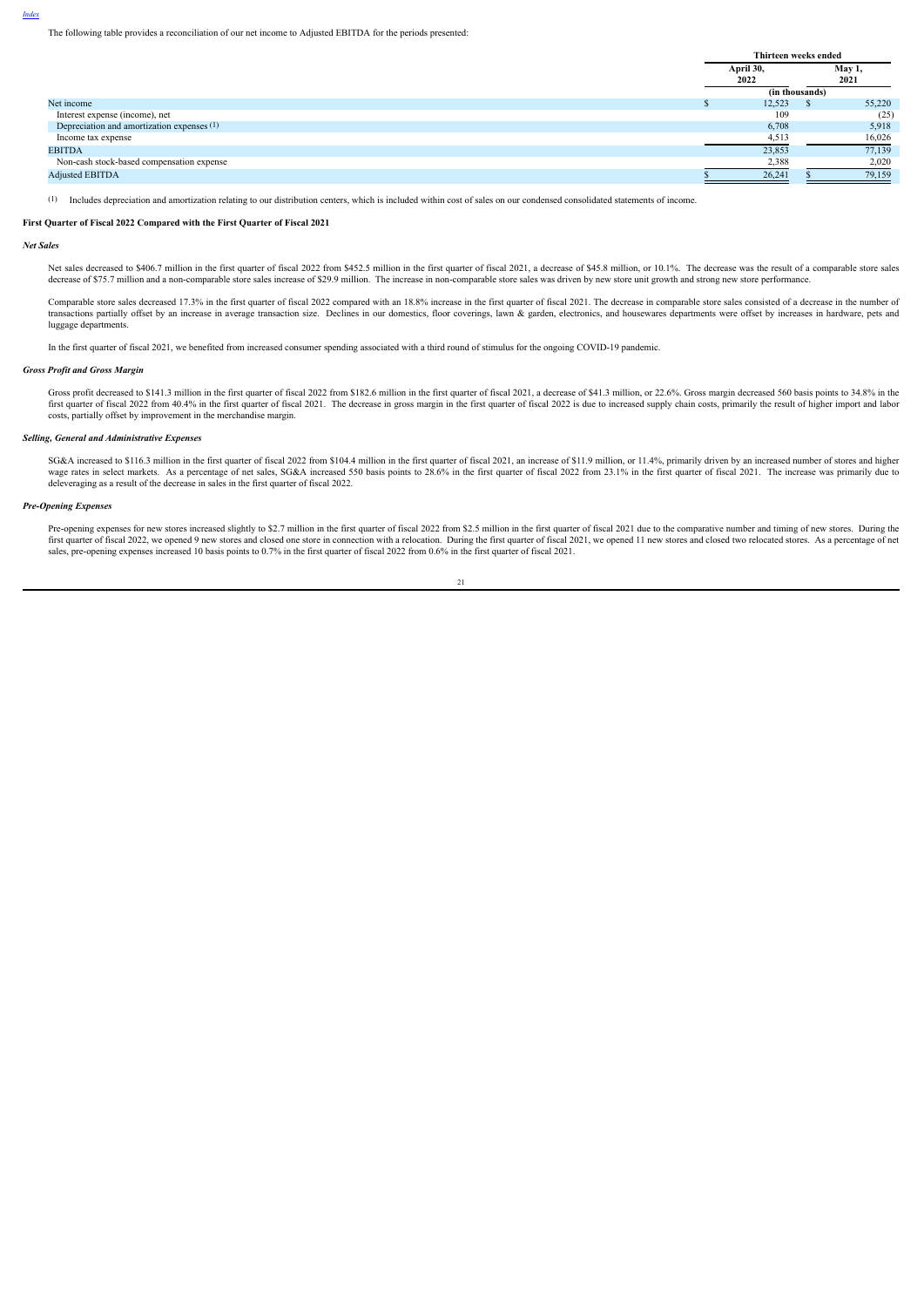The following table provides a reconciliation of our net income to Adjusted EBITDA for the periods presented:

|                                              | Thirteen weeks ended |           |                |        |
|----------------------------------------------|----------------------|-----------|----------------|--------|
|                                              |                      | April 30, |                | May 1, |
|                                              |                      | 2022      |                | 2021   |
|                                              |                      |           | (in thousands) |        |
| Net income                                   |                      | 12,523    |                | 55,220 |
| Interest expense (income), net               |                      | 109       |                | (25)   |
| Depreciation and amortization expenses $(1)$ |                      | 6,708     |                | 5,918  |
| Income tax expense                           |                      | 4,513     |                | 16,026 |
| <b>EBITDA</b>                                |                      | 23,853    |                | 77,139 |
| Non-cash stock-based compensation expense    |                      | 2,388     |                | 2,020  |
| <b>Adjusted EBITDA</b>                       |                      | 26,241    |                | 79,159 |

(1) Includes depreciation and amortization relating to our distribution centers, which is included within cost of sales on our condensed consolidated statements of income.

### **First Quarter of Fiscal 2022 Compared with the First Quarter of Fiscal 2021**

#### *Net Sales*

Net sales decreased to \$406.7 million in the first quarter of fiscal 2022 from \$452.5 million in the first quarter of fiscal 2021, a decrease of \$45.8 million, or 10.1%. The decrease was the result of a comparable store sa decrease of \$75.7 million and a non-comparable store sales increase of \$29.9 million. The increase in non-comparable store sales was driven by new store unit growth and strong new store performance.

Comparable store sales decreased 17.3% in the first quarter of fiscal 2022 compared with an 18.8% increase in the first quarter of fiscal 2021. The decrease in comparable store sales consisted of a decrease in the number of transactions partially offset by an increase in average transaction size. Declines in our domestics, floor coverings, lawn & garden, electronics, and housewares departments were offset by increases in hardware, pets and luggage departments.

In the first quarter of fiscal 2021, we benefited from increased consumer spending associated with a third round of stimulus for the ongoing COVID-19 pandemic.

#### *Gross Profit and Gross Margin*

Gross profit decreased to \$141.3 million in the first quarter of fiscal 2022 from \$182.6 million in the first quarter of fiscal 2021, a decrease of \$41.3 million, or 22.6%. Gross margin decreased 560 basis points to 34.8% first quarter of fiscal 2022 from 40.4% in the first quarter of fiscal 2021. The decrease in gross margin in the first quarter of fiscal 2022 is due to increased supply chain costs, primarily the result of higher import an costs, partially offset by improvement in the merchandise margin.

#### *Selling, General and Administrative Expenses*

SG&A increased to \$116.3 million in the first quarter of fiscal 2022 from \$104.4 million in the first quarter of fiscal 2021, an increase of \$11.9 million, or 11.4%, primarily driven by an increased number of stores and hi deleveraging as a result of the decrease in sales in the first quarter of fiscal 2022.

#### *Pre-Opening Expenses*

Pre-opening expenses for new stores increased slightly to \$2.7 million in the first quarter of fiscal 2022 from \$2.5 million in the first quarter of fiscal 2022 from \$2.5 million in the first quarter of fiscal 2021 due to first quarter of fiscal 2022, we opened 9 new stores and closed one store and closed one store in connection with a relocation. During the first quarter of fiscal 2021, we opened 11 new stores and closed two relocated stor sales, pre-opening expenses increased 10 basis points to 0.7% in the first quarter of fiscal 2022 from 0.6% in the first quarter of fiscal 2021.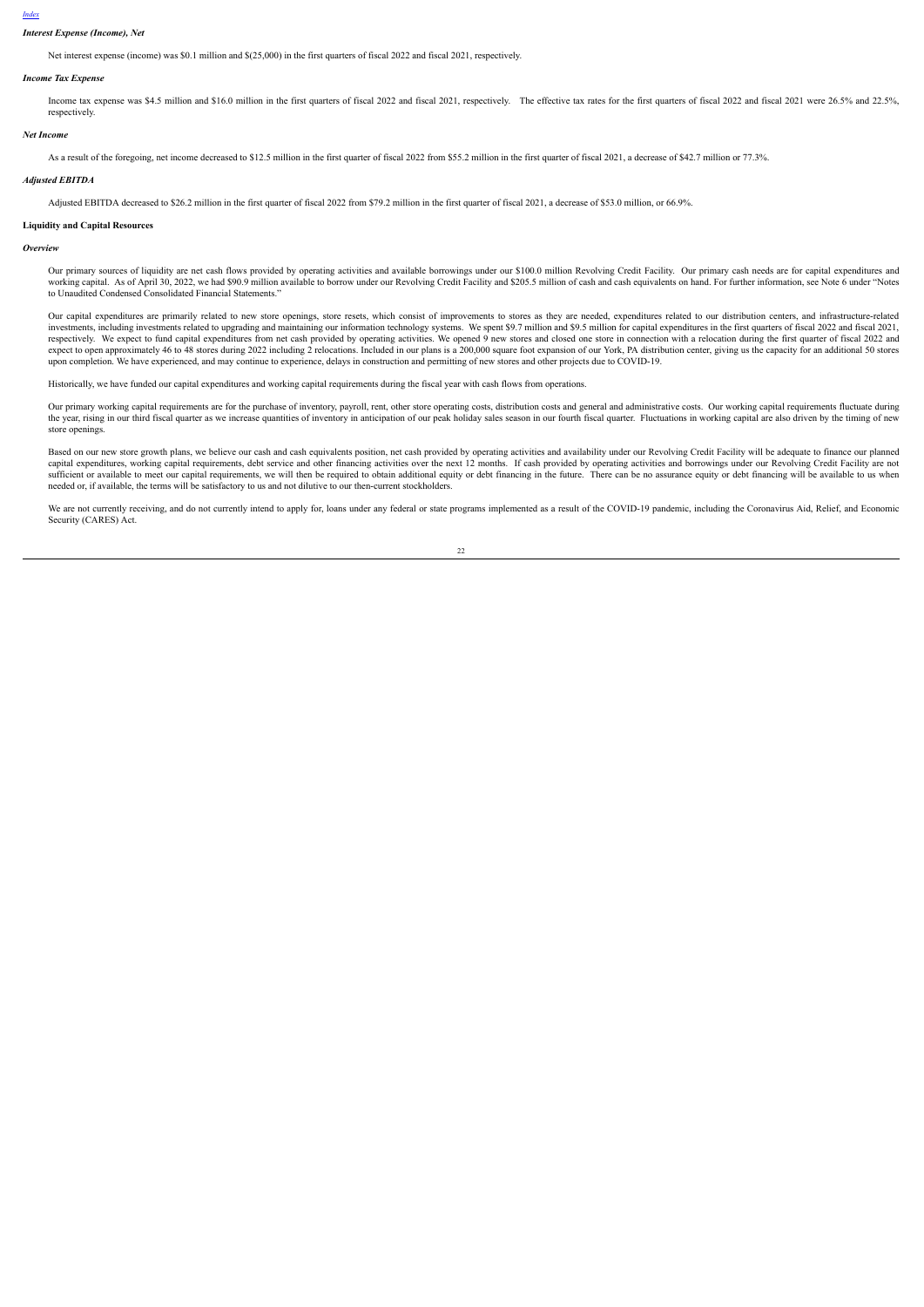#### *Interest Expense (Income), Net*

Net interest expense (income) was \$0.1 million and \$(25,000) in the first quarters of fiscal 2022 and fiscal 2021, respectively.

#### *Income Tax Expense*

Income tax expense was \$4.5 million and \$16.0 million in the first quarters of fiscal 2022 and fiscal 2021, respectively. The effective tax rates for the first quarters of fiscal 2022 and fiscal 2021 were 26.5% and 22.5%, respectively.

#### *Net Income*

As a result of the foregoing, net income decreased to \$12.5 million in the first quarter of fiscal 2022 from \$55.2 million in the first quarter of fiscal 2021, a decrease of \$42.7 million or 77.3%.

#### *Adjusted EBITDA*

Adjusted EBITDA decreased to \$26.2 million in the first quarter of fiscal 2022 from \$79.2 million in the first quarter of fiscal 2021, a decrease of \$53.0 million, or 66.9%.

#### **Liquidity and Capital Resources**

*Overview*

Our primary sources of liquidity are net cash flows provided by operating activities and available borrowings under our \$100.0 million Revolving Credit Facility. Our primary cash needs are for capital expenditures and work

Our capital expenditures are primarily related to new store openings, store resets, which consist of improvements to stores as they are needed, expenditures related to our distribution centers, and infrastructure-related<br>i respectively. We expect to fund capital expenditures from net cash provided by operating activities. We opened 9 new stores and closed one store in connection with a relocation during the first quarter of fiscal 2022 and expect to open approximately 46 to 48 stores during 2022 including 2 relocations. Included in our plans is a 200,000 square foot expansion of our York, PA distribution center, giving us the capacity for an additional 50 st

Historically, we have funded our capital expenditures and working capital requirements during the fiscal year with cash flows from operations.

Our primary working capital requirements are for the purchase of inventory, payroll, rent, other store operating costs, distribution costs and general and administrative costs. Our working capital requirements fluctuate du of the pear, rising in our third fiscal quarter as we increase quartities of inventory in anticipation of our peak holiday sales season in our fourth fiscal quarter. Fluctuations in working capital are also driven by the t store openings.

Based on our new store growth plans, we believe our cash and cash equivalents position, net cash provided by operating activities and availability under our Revolving Credit Facility will be adequate to finance our planned capital expenditures, working capital requirements, debt service and other financing activities over the next 12 months. If cash provided by operating activities and borrowings under our Revolving Credit Facility are not<br>s needed or, if available, the terms will be satisfactory to us and not dilutive to our then-current stockholders.

We are not currently receiving, and do not currently intend to apply for, loans under any federal or state programs implemented as a result of the COVID-19 pandemic, including the Coronavirus Aid, Relief, and Economic Security (CARES) Act.

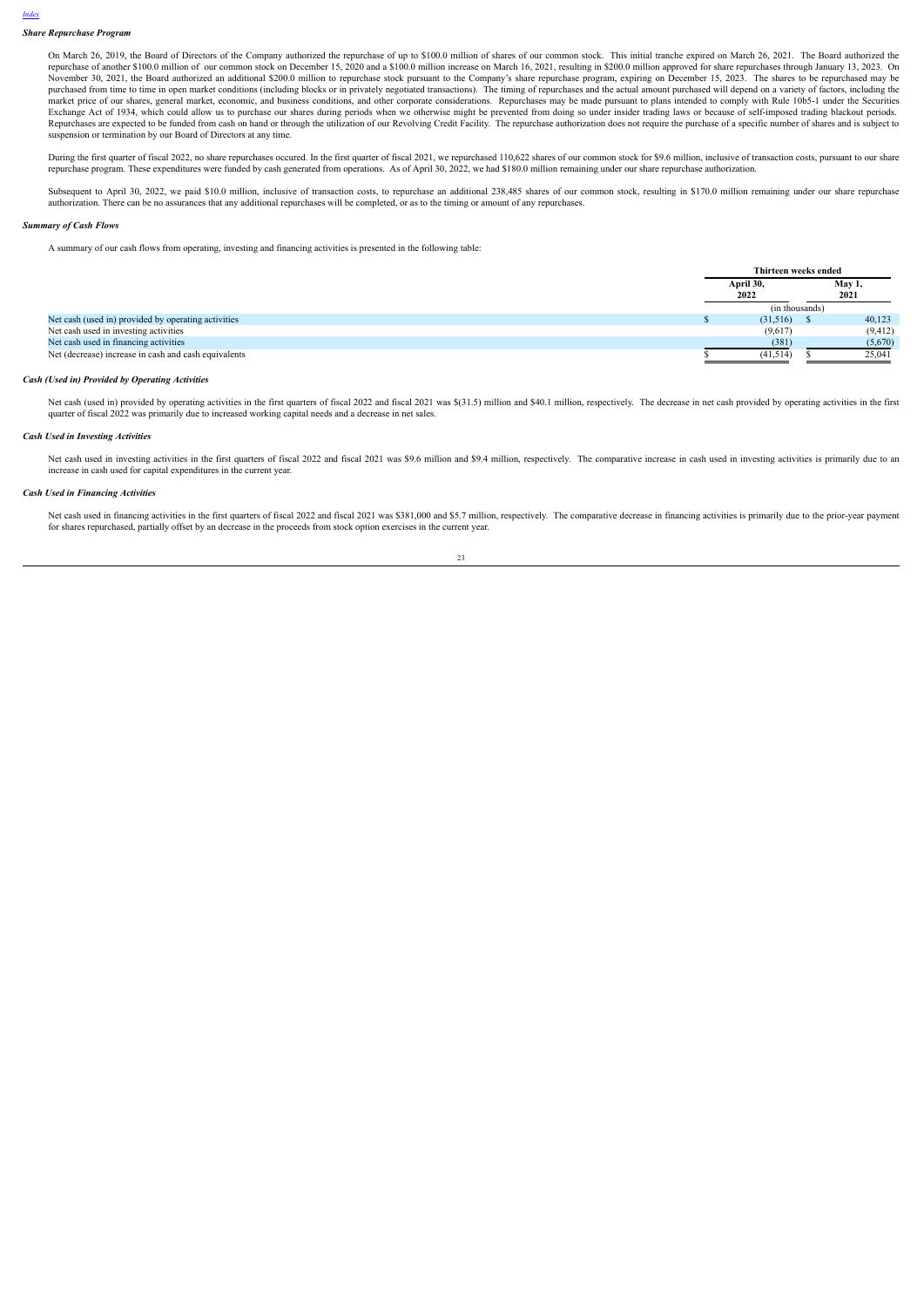#### *Share Repurchase Program*

On March 26, 2019, the Board of Directors of the Company authorized the repurchase of up to \$100.0 million of shares of our common stock. This initial tranche expired on March 26, 2021. The Board authorized the expertances November 30, 2021, the Board authorized an additional \$200.0 million to repurchase stock pursuant to the Company's share repurchase program, expiring on December 15, 2023. The shares to be repurchased may be repurchased ma purchased from time to time in open market conditions (including blocks or in privately negotiated transactions). The timing of repurchases and the actual amount purchased will depend on a variety of factors, including the market price of our shares, general market, economic, and business conditions, and other corporate considerations. Repurchases may be made pursuant to plans intended to comply with Rule 10b5-1 under the Securities Exchange Act of 1934, which could allow us to purchase our shares during periods when we otherwise might be prevented from doing so under insider trading laws or because of self-imposed trading blackout periods. Repurchases are expected to be funded from cash on hand or through the utilization of our Revolving Credit Facility. The repurchase authorization does not require the purchase of a specific number of shares and is subject to suspension or termination by our Board of Directors at any time.

During the first quarter of fiscal 2022, no share repurchases occured. In the first quarter of fiscal 2021, we repurchased 110,622 shares of our common stock for \$9.6 million, inclusive of transaction costs, pursuant to ou repurchase program. These expenditures were funded by cash generated from operations. As of April 30, 2022, we had \$180.0 million remaining under our share repurchase authorization.

Subsequent to April 30, 2022, we paid \$10.0 million, inclusive of transaction costs, to repurchase an additional 238,485 shares of our common stock, resulting in \$170.0 million remaining under our share repurchase authorization. There can be no assurances that any additional repurchases will be completed, or as to the timing or amount of any repurchases.

#### *Summary of Cash Flows*

A summary of our cash flows from operating, investing and financing activities is presented in the following table:

|                                                      | Thirteen weeks ended |                |
|------------------------------------------------------|----------------------|----------------|
|                                                      | April 30,            | May 1,         |
|                                                      | 2022                 | 2021           |
|                                                      |                      | (in thousands) |
| Net cash (used in) provided by operating activities  | (31, 516)            | 40,123         |
| Net cash used in investing activities                | (9,617)              | (9, 412)       |
| Net cash used in financing activities                | (381)                | (5,670)        |
| Net (decrease) increase in cash and cash equivalents | (41, 514)            | 25,041         |

# *Cash (Used in) Provided by Operating Activities*

Net cash (used in) provided by operating activities in the first quarters of fiscal 2022 and fiscal 2021 was \$(31.5) million and \$40.1 million, respectively. The decrease in net cash provided by operating activities in the

## *Cash Used in Investing Activities*

Net cash used in investing activities in the first quarters of fiscal 2022 and fiscal 2021 was \$9.6 million and \$9.4 million, respectively. The comparative increase in cash used in investing activities is primarily due to increase in cash used for capital expenditures in the current year.

#### *Cash Used in Financing Activities*

Net cash used in financing activities in the first quarters of fiscal 2022 and fiscal 2021 was \$381,000 and \$5.7 million, respectively. The comparative decrease in financing activities is primarily due to the prior-year pa for shares repurchased, partially offset by an decrease in the proceeds from stock option exercises in the current year.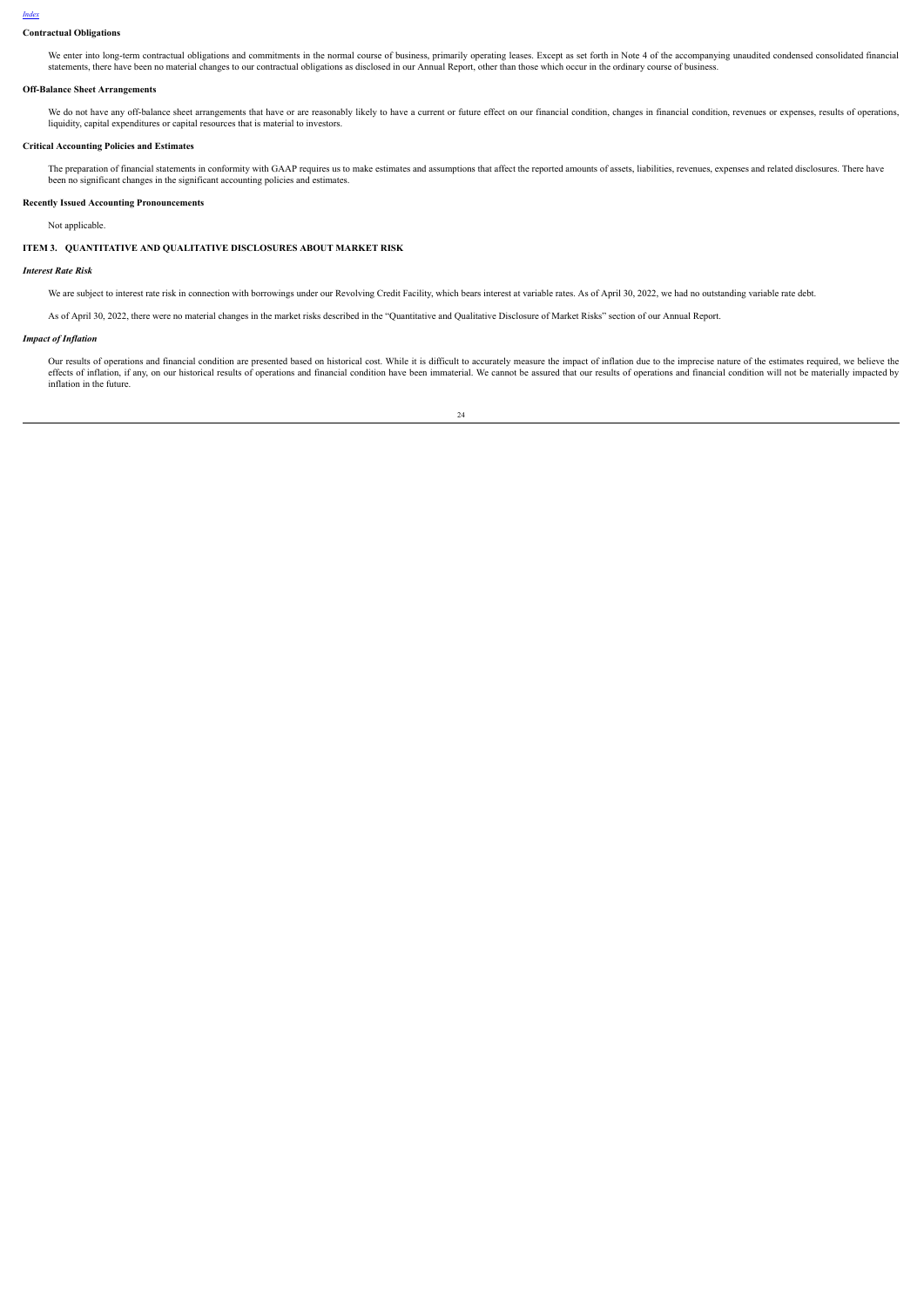#### **Contractual Obligations**

We enter into long-term contractual obligations and commitments in the normal course of business, primarily operating leases. Except as set forth in Note 4 of the accompanying unaudited condensed consolidated financial<br>sta

## **Off-Balance Sheet Arrangements**

We do not have any off-balance sheet arrangements that have or are reasonably likely to have a current or future effect on our financial condition, changes in financial condition, revenues or expenses, results of operation liquidity, capital expenditures or capital resources that is material to investors.

#### **Critical Accounting Policies and Estimates**

The preparation of financial statements in conformity with GAAP requires us to make estimates and assumptions that affect the reported amounts of assets, liabilities, revenues, expenses and related disclosures. There have been no significant changes in the significant accounting policies and estimates.

#### **Recently Issued Accounting Pronouncements**

Not applicable.

## <span id="page-25-0"></span>**ITEM 3. QUANTITATIVE AND QUALITATIVE DISCLOSURES ABOUT MARKET RISK**

#### *Interest Rate Risk*

We are subject to interest rate risk in connection with borrowings under our Revolving Credit Facility, which bears interest at variable rates. As of April 30, 2022, we had no outstanding variable rate debt.

As of April 30, 2022, there were no material changes in the market risks described in the "Quantitative and Qualitative Disclosure of Market Risks" section of our Annual Report.

## *Impact of Inflation*

Our results of operations and financial condition are presented based on historical cost. While it is difficult to accurately measure the impact of inflation due to the imprecise nature of the estimates required, we believ effects of inflation, if any, on our historical results of operations and financial condition have been immaterial. We cannot be assured that our results of operations and financial condition will not be materially impacte inflation in the future.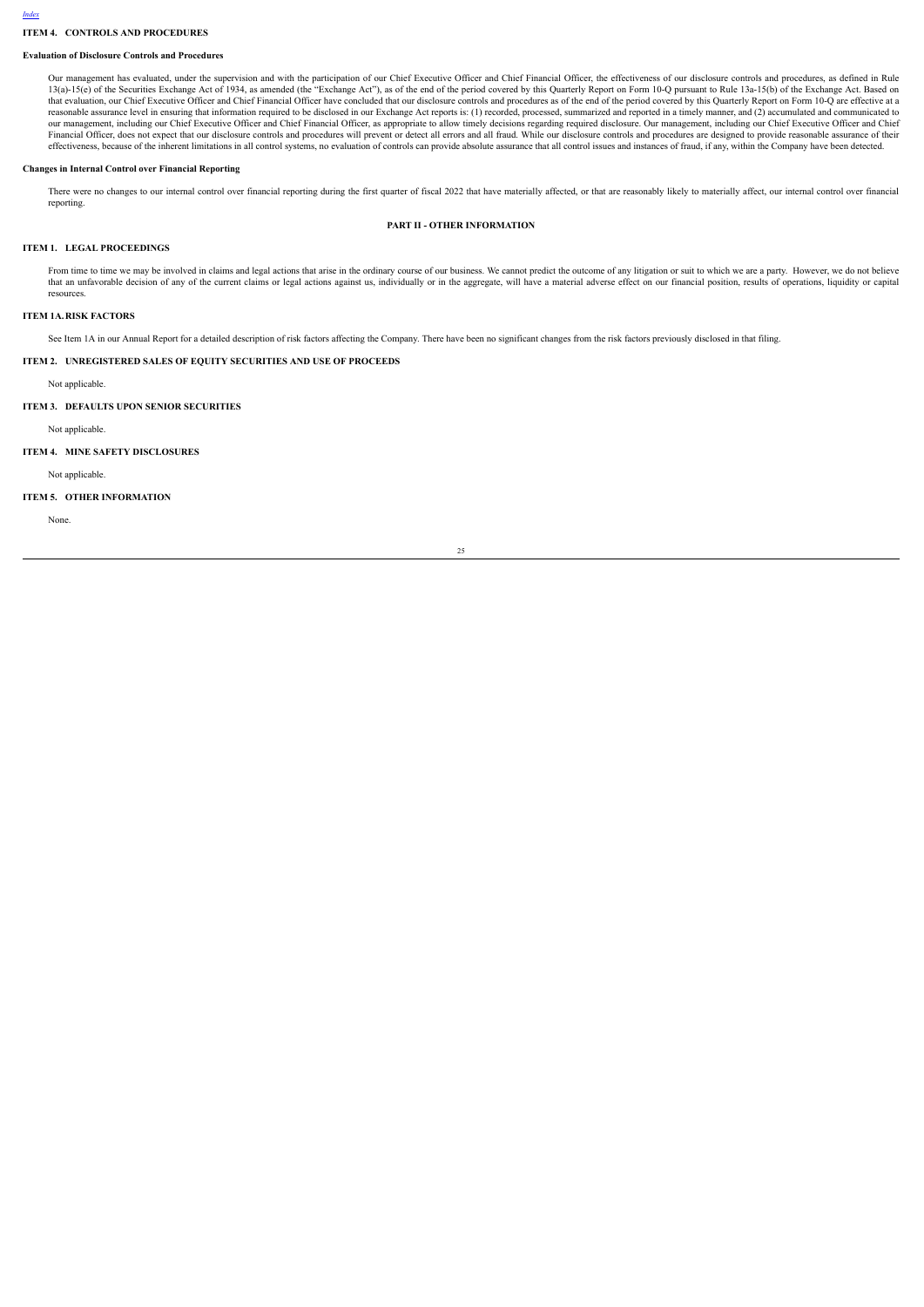#### <span id="page-26-0"></span>**ITEM 4. CONTROLS AND PROCEDURES**

#### **Evaluation of Disclosure Controls and Procedures**

Our management has evaluated, under the supervision and with the participation of our Chief Executive Officer and Chief Financial Officer, the effectiveness of our disclosure controls and procedures, as defined in Rule 13(a)-15(e) of the Securities Exchange Act of 1934, as amended (the "Exchange Act"), as of the end of the period covered by this Quarterly Report on Form 10-Q pursuant to Rule 13a-15(b) of the Exchange Act. Based on that e reasonable assurance level in ensuring that information required to be disclosed in our Exchange Act reports is: (1) recorded, processed, summarized and reported in a timely manner, and (2) accumulated and communicated to effectiveness, because of the inherent limitations in all control systems, no evaluation of controls can provide absolute assurance that all control issues and instances of fraud, if any, within the Company have been detec

#### **Changes in Internal Control over Financial Reporting**

There were no changes to our internal control over financial reporting during the first quarter of fiscal 2022 that have materially affected, or that are reasonably likely to materially affect, our internal control over fi reporting.

### **PART II - OTHER INFORMATION**

## <span id="page-26-1"></span>**ITEM 1. LEGAL PROCEEDINGS**

From time to time we may be involved in claims and legal actions that arise in the ordinary course of our business. We cannot predict the outcome of any litigation or suit to which we are a party. However, we do not believ that an unfavorable decision of any of the current claims or legal actions against us, individually or in the aggregate, will have a material adverse effect on our financial position, results of operations, liquidity or ca resources.

### <span id="page-26-2"></span>**ITEM 1A.RISK FACTORS**

See Item 1A in our Annual Report for a detailed description of risk factors affecting the Company. There have been no significant changes from the risk factors previously disclosed in that filing.

#### <span id="page-26-3"></span>**ITEM 2. UNREGISTERED SALES OF EQUITY SECURITIES AND USE OF PROCEEDS**

Not applicable.

#### <span id="page-26-4"></span>**ITEM 3. DEFAULTS UPON SENIOR SECURITIES**

# Not applicable.

#### <span id="page-26-5"></span>**ITEM 4. MINE SAFETY DISCLOSURES**

Not applicable.

#### <span id="page-26-6"></span>**ITEM 5. OTHER INFORMATION**

None.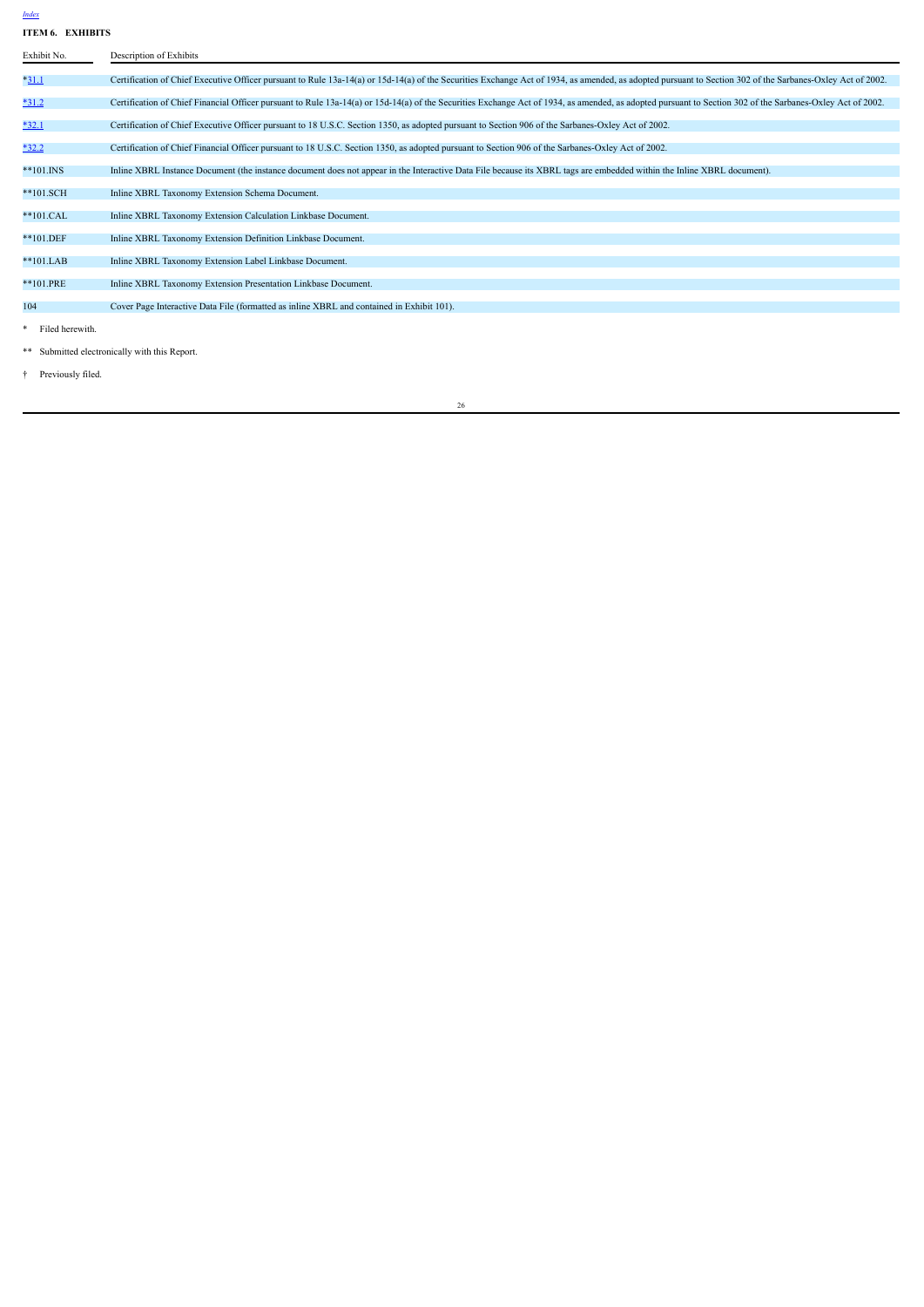<span id="page-27-0"></span>**ITEM 6. EXHIBITS**

| Exhibit No.     | Description of Exhibits                                                                                                                                                                                    |
|-----------------|------------------------------------------------------------------------------------------------------------------------------------------------------------------------------------------------------------|
| $*31.1$         | Certification of Chief Executive Officer pursuant to Rule 13a-14(a) or 15d-14(a) of the Securities Exchange Act of 1934, as amended, as adopted pursuant to Section 302 of the Sarbanes-Oxley Act of 2002. |
| $*31.2$         | Certification of Chief Financial Officer pursuant to Rule 13a-14(a) or 15d-14(a) of the Securities Exchange Act of 1934, as amended, as adopted pursuant to Section 302 of the Sarbanes-Oxley Act of 2002. |
| $*32.1$         | Certification of Chief Executive Officer pursuant to 18 U.S.C. Section 1350, as adopted pursuant to Section 906 of the Sarbanes-Oxley Act of 2002.                                                         |
| $*32.2$         | Certification of Chief Financial Officer pursuant to 18 U.S.C. Section 1350, as adopted pursuant to Section 906 of the Sarbanes-Oxley Act of 2002.                                                         |
| $*101.$ INS     | Inline XBRL Instance Document (the instance document does not appear in the Interactive Data File because its XBRL tags are embedded within the Inline XBRL document).                                     |
| **101.SCH       | Inline XBRL Taxonomy Extension Schema Document.                                                                                                                                                            |
| $*101.CAL$      | Inline XBRL Taxonomy Extension Calculation Linkbase Document.                                                                                                                                              |
| **101.DEF       | Inline XBRL Taxonomy Extension Definition Linkbase Document.                                                                                                                                               |
| $*101.LAB$      | Inline XBRL Taxonomy Extension Label Linkbase Document.                                                                                                                                                    |
| **101.PRE       | Inline XBRL Taxonomy Extension Presentation Linkbase Document.                                                                                                                                             |
| 104             | Cover Page Interactive Data File (formatted as inline XBRL and contained in Exhibit 101).                                                                                                                  |
| Filed herewith. |                                                                                                                                                                                                            |

\*\* Submitted electronically with this Report.

† Previously filed.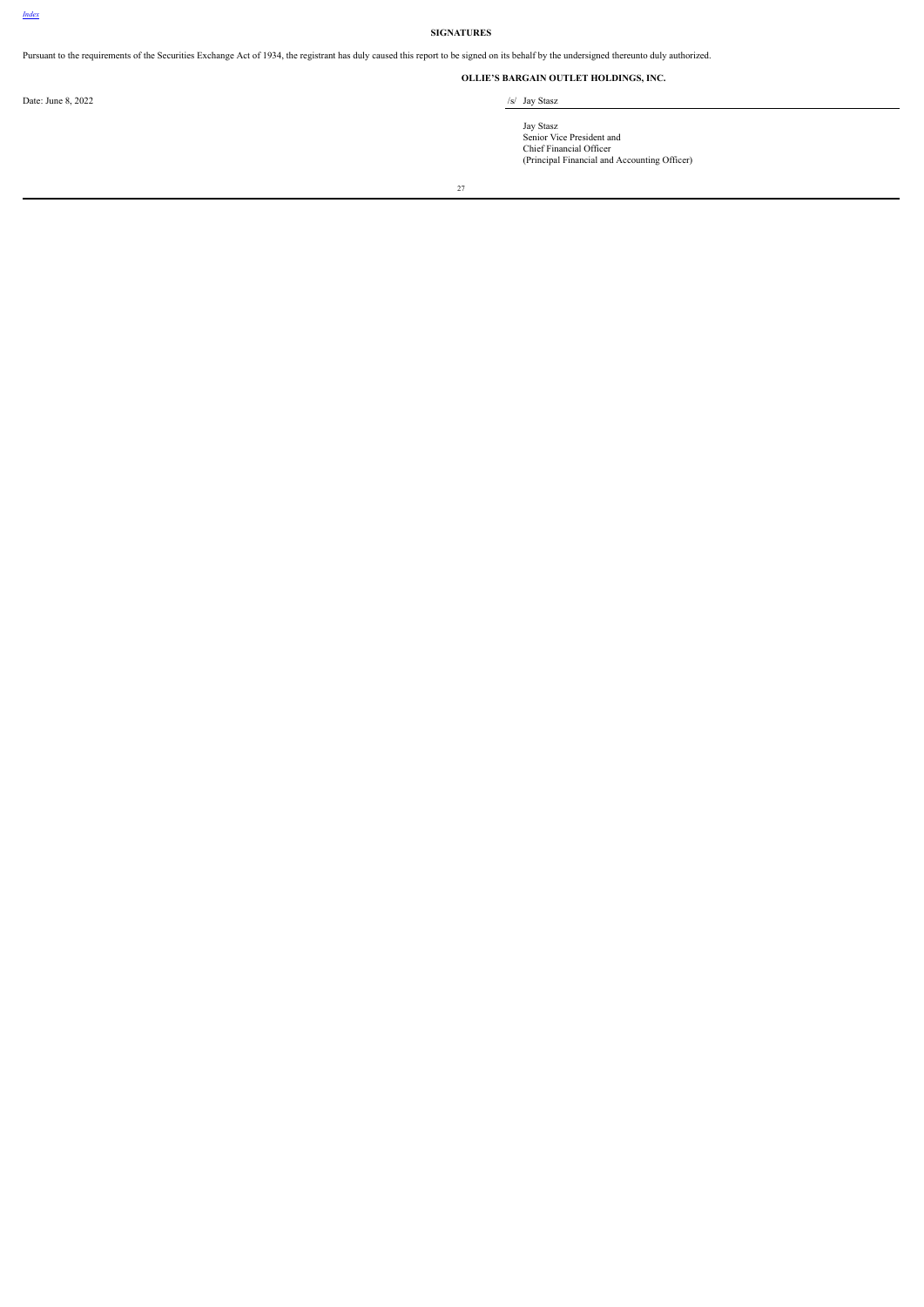# **SIGNATURES**

Pursuant to the requirements of the Securities Exchange Act of 1934, the registrant has duly caused this report to be signed on its behalf by the undersigned thereunto duly authorized.

**OLLIE'S BARGAIN OUTLET HOLDINGS, INC.**

Jay Stasz Senior Vice President and Chief Financial Officer (Principal Financial and Accounting Officer)

27

Date: June 8, 2022 /s/ Jay Stasz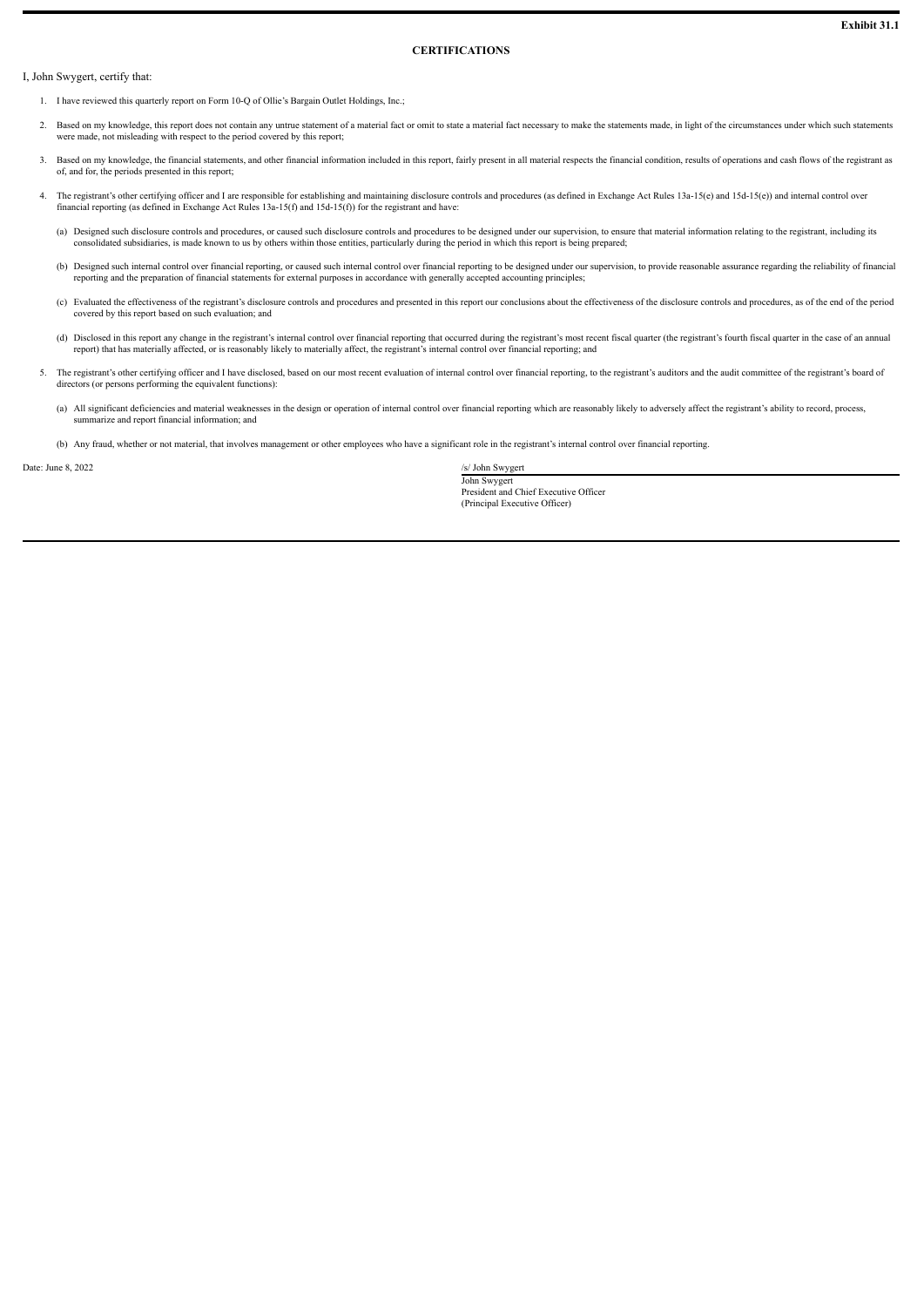## **CERTIFICATIONS**

## <span id="page-29-0"></span>I, John Swygert, certify that:

- 1. I have reviewed this quarterly report on Form 10-Q of Ollie's Bargain Outlet Holdings, Inc.;
- 2. Based on my knowledge, this report does not contain any untrue statement of a material fact or omit to state a material fact necessary to make the statements made, in light of the circumstances under which such statements were made, not misleading with respect to the period covered by this report;
- 3. Based on my knowledge, the financial statements, and other financial information included in this report, fairly present in all material respects the financial condition, results of operations and cash flows of the regi of, and for, the periods presented in this report;
- 4. The registrant's other certifying officer and I are responsible for establishing and maintaining disclosure controls and procedures (as defined in Exchange Act Rules 13a-15(e) and 15d-15(e)) and internal control over financial reporting (as defined in Exchange Act Rules 13a-15(f) and 15d-15(f)) for the registrant and have:
	- (a) Designed such disclosure controls and procedures, or caused such disclosure controls and procedures to be designed under our supervision, to ensure that material information relating to the registrant, including its co
	- (b) Designed such internal control over financial reporting, or caused such internal control over financial reporting to be designed under our supervision, to provide reasonable assurance regarding the reliability of finan reporting and the preparation of financial statements for external purposes in accordance with generally accepted accounting principles;
	- (c) Evaluated the effectiveness of the registrant's disclosure controls and procedures and presented in this report our conclusions about the effectiveness of the disclosure controls and procedures, as of the end of the pe covered by this report based on such evaluation; and
	- (d) Disclosed in this report any change in the registrant's internal control over financial reporting that occurred during the registrant's most recent fiscal quarter (the registrant's fourth fiscal quarter in the case of
- The registrant's other certifying officer and I have disclosed, based on our most recent evaluation of internal control over financial reporting, to the registrant's auditors and the audit committee of the registrant's boa directors (or persons performing the equivalent functions):
- (a) All significant deficiencies and material weaknesses in the design or operation of internal control over financial reporting which are reasonably likely to adversely affect the registrant's ability to record, process,
- (b) Any fraud, whether or not material, that involves management or other employees who have a significant role in the registrant's internal control over financial reporting.

Date: June 8, 2022 /s/ John Swygert

John Swygert President and Chief Executive Officer (Principal Executive Officer)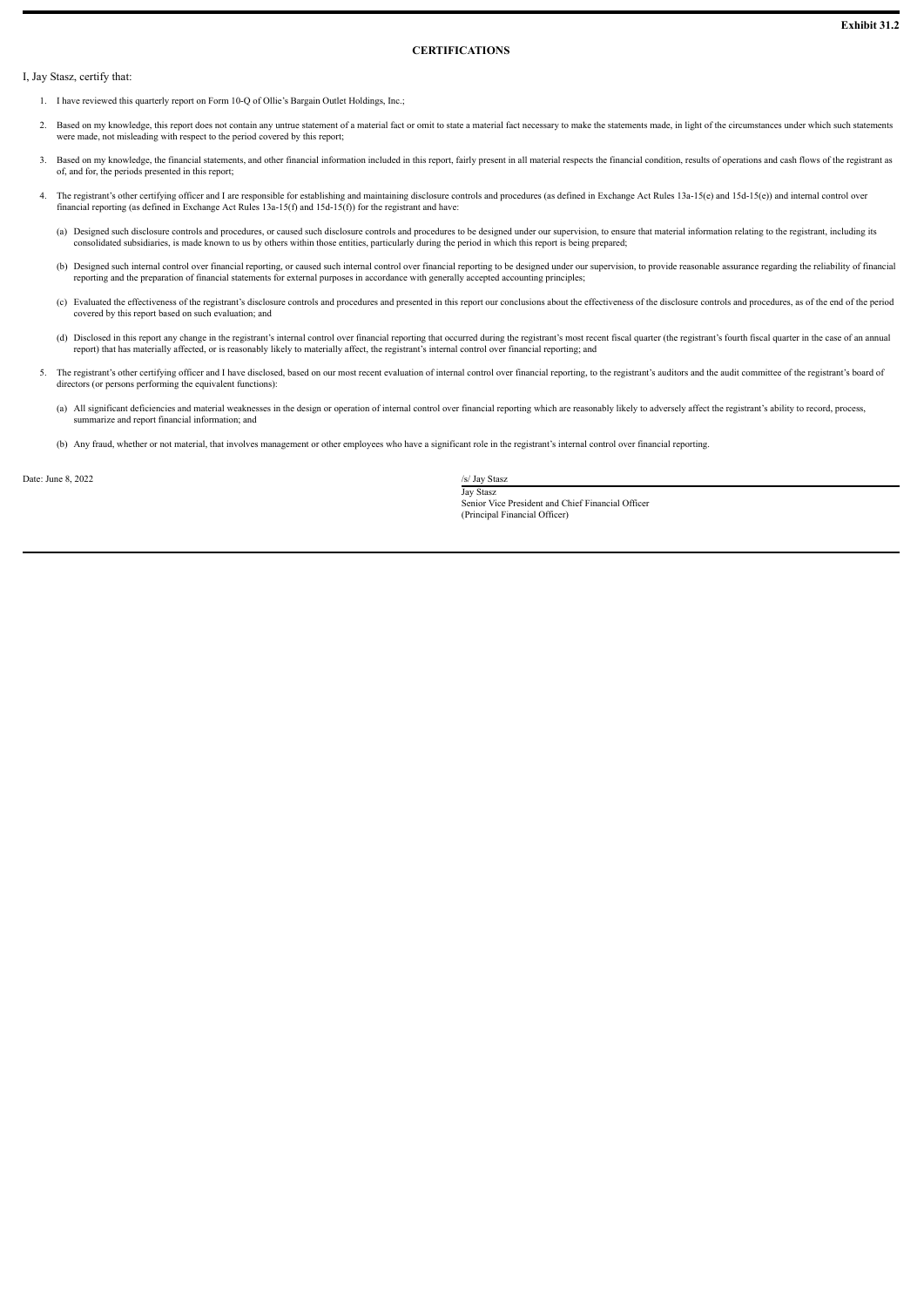## **CERTIFICATIONS**

## <span id="page-30-0"></span>I, Jay Stasz, certify that:

- 1. I have reviewed this quarterly report on Form 10-Q of Ollie's Bargain Outlet Holdings, Inc.;
- 2. Based on my knowledge, this report does not contain any untrue statement of a material fact or omit to state a material fact necessary to make the statements made, in light of the circumstances under which such statements were made, not misleading with respect to the period covered by this report;
- 3. Based on my knowledge, the financial statements, and other financial information included in this report, fairly present in all material respects the financial condition, results of operations and cash flows of the regi of, and for, the periods presented in this report;
- 4. The registrant's other certifying officer and I are responsible for establishing and maintaining disclosure controls and procedures (as defined in Exchange Act Rules 13a-15(e) and 15d-15(e)) and internal control over financial reporting (as defined in Exchange Act Rules 13a-15(f) and 15d-15(f)) for the registrant and have:
	- (a) Designed such disclosure controls and procedures, or caused such disclosure controls and procedures to be designed under our supervision, to ensure that material information relating to the registrant, including its co
	- (b) Designed such internal control over financial reporting, or caused such internal control over financial reporting to be designed under our supervision, to provide reasonable assurance regarding the reliability of finan reporting and the preparation of financial statements for external purposes in accordance with generally accepted accounting principles;
	- (c) Evaluated the effectiveness of the registrant's disclosure controls and procedures and presented in this report our conclusions about the effectiveness of the disclosure controls and procedures, as of the end of the pe covered by this report based on such evaluation; and
	- (d) Disclosed in this report any change in the registrant's internal control over financial reporting that occurred during the registrant's most recent fiscal quarter (the registrant's fourth fiscal quarter in the case of
- The registrant's other certifying officer and I have disclosed, based on our most recent evaluation of internal control over financial reporting, to the registrant's auditors and the audit committee of the registrant's boa directors (or persons performing the equivalent functions):
- (a) All significant deficiencies and material weaknesses in the design or operation of internal control over financial reporting which are reasonably likely to adversely affect the registrant's ability to record, process,
- (b) Any fraud, whether or not material, that involves management or other employees who have a significant role in the registrant's internal control over financial reporting.

Date: June 8, 2022 /s/ Jay Stasz

Jay Sta Senior Vice President and Chief Financial Officer (Principal Financial Officer)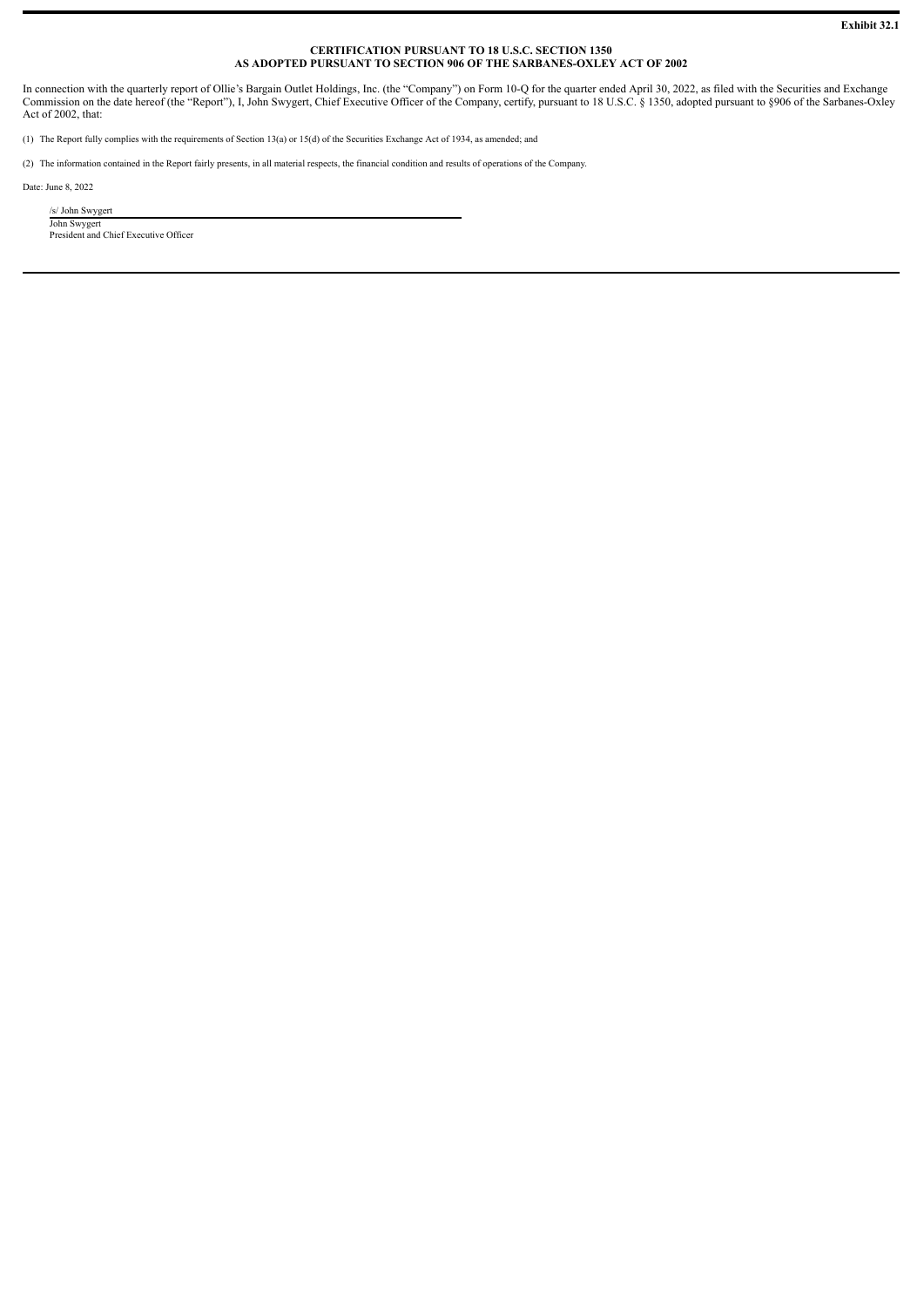## **CERTIFICATION PURSUANT TO 18 U.S.C. SECTION 1350 AS ADOPTED PURSUANT TO SECTION 906 OF THE SARBANES-OXLEY ACT OF 2002**

<span id="page-31-0"></span>In connection with the quarterly report of Ollie's Bargain Outlet Holdings, Inc. (the "Company") on Form 10-Q for the quarter ended April 30, 2022, as filed with the Securities and Exchange Commission on the date hereof (the "Report"), I, John Swygert, Chief Executive Officer of the Company, certify, pursuant to 18 U.S.C. § 1350, adopted pursuant to §906 of the Sarbanes-Oxley Act of 2002, that:

(1) The Report fully complies with the requirements of Section 13(a) or 15(d) of the Securities Exchange Act of 1934, as amended; and

(2) The information contained in the Report fairly presents, in all material respects, the financial condition and results of operations of the Company.

Date: June 8, 2022

/s/ John Swygert John Swygert President and Chief Executive Officer